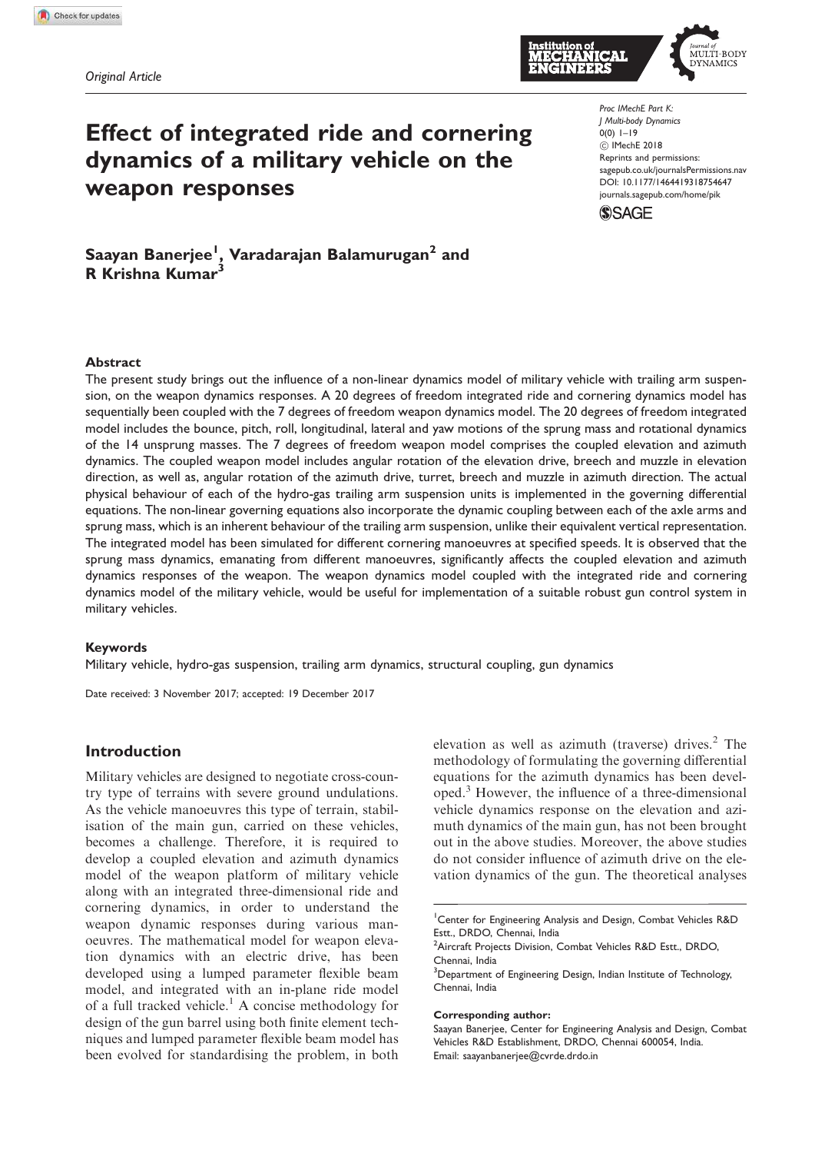# Effect of integrated ride and cornering dynamics of a military vehicle on the weapon responses

*Proc IMechE Part K: J Multi-body Dynamics*  $0(0)$  1–19 C IMechE 2018 Reprints and permissions: sagepub.co.uk/journalsPermissions.nav DOI: 10.1177/1464419318754647 journals.sagepub.com/home/pik



Saayan Banerjee<sup>l</sup>, Varadarajan Balamurugan<sup>2</sup> and R Krishna Kumar<sup>3</sup>

#### Abstract

The present study brings out the influence of a non-linear dynamics model of military vehicle with trailing arm suspension, on the weapon dynamics responses. A 20 degrees of freedom integrated ride and cornering dynamics model has sequentially been coupled with the 7 degrees of freedom weapon dynamics model. The 20 degrees of freedom integrated model includes the bounce, pitch, roll, longitudinal, lateral and yaw motions of the sprung mass and rotational dynamics of the 14 unsprung masses. The 7 degrees of freedom weapon model comprises the coupled elevation and azimuth dynamics. The coupled weapon model includes angular rotation of the elevation drive, breech and muzzle in elevation direction, as well as, angular rotation of the azimuth drive, turret, breech and muzzle in azimuth direction. The actual physical behaviour of each of the hydro-gas trailing arm suspension units is implemented in the governing differential equations. The non-linear governing equations also incorporate the dynamic coupling between each of the axle arms and sprung mass, which is an inherent behaviour of the trailing arm suspension, unlike their equivalent vertical representation. The integrated model has been simulated for different cornering manoeuvres at specified speeds. It is observed that the sprung mass dynamics, emanating from different manoeuvres, significantly affects the coupled elevation and azimuth dynamics responses of the weapon. The weapon dynamics model coupled with the integrated ride and cornering dynamics model of the military vehicle, would be useful for implementation of a suitable robust gun control system in military vehicles.

#### Keywords

Military vehicle, hydro-gas suspension, trailing arm dynamics, structural coupling, gun dynamics

Date received: 3 November 2017; accepted: 19 December 2017

### Introduction

Military vehicles are designed to negotiate cross-country type of terrains with severe ground undulations. As the vehicle manoeuvres this type of terrain, stabilisation of the main gun, carried on these vehicles, becomes a challenge. Therefore, it is required to develop a coupled elevation and azimuth dynamics model of the weapon platform of military vehicle along with an integrated three-dimensional ride and cornering dynamics, in order to understand the weapon dynamic responses during various manoeuvres. The mathematical model for weapon elevation dynamics with an electric drive, has been developed using a lumped parameter flexible beam model, and integrated with an in-plane ride model of a full tracked vehicle.<sup>1</sup> A concise methodology for design of the gun barrel using both finite element techniques and lumped parameter flexible beam model has been evolved for standardising the problem, in both elevation as well as azimuth (traverse) drives.<sup>2</sup> The methodology of formulating the governing differential equations for the azimuth dynamics has been developed.<sup>3</sup> However, the influence of a three-dimensional vehicle dynamics response on the elevation and azimuth dynamics of the main gun, has not been brought out in the above studies. Moreover, the above studies do not consider influence of azimuth drive on the elevation dynamics of the gun. The theoretical analyses

<sup>1</sup>Center for Engineering Analysis and Design, Combat Vehicles R&D Estt., DRDO, Chennai, India

<sup>2</sup>Aircraft Projects Division, Combat Vehicles R&D Estt., DRDO, Chennai, India

#### Corresponding author:



<sup>&</sup>lt;sup>3</sup>Department of Engineering Design, Indian Institute of Technology, Chennai, India

Saayan Banerjee, Center for Engineering Analysis and Design, Combat Vehicles R&D Establishment, DRDO, Chennai 600054, India. Email: saayanbanerjee@cvrde.drdo.in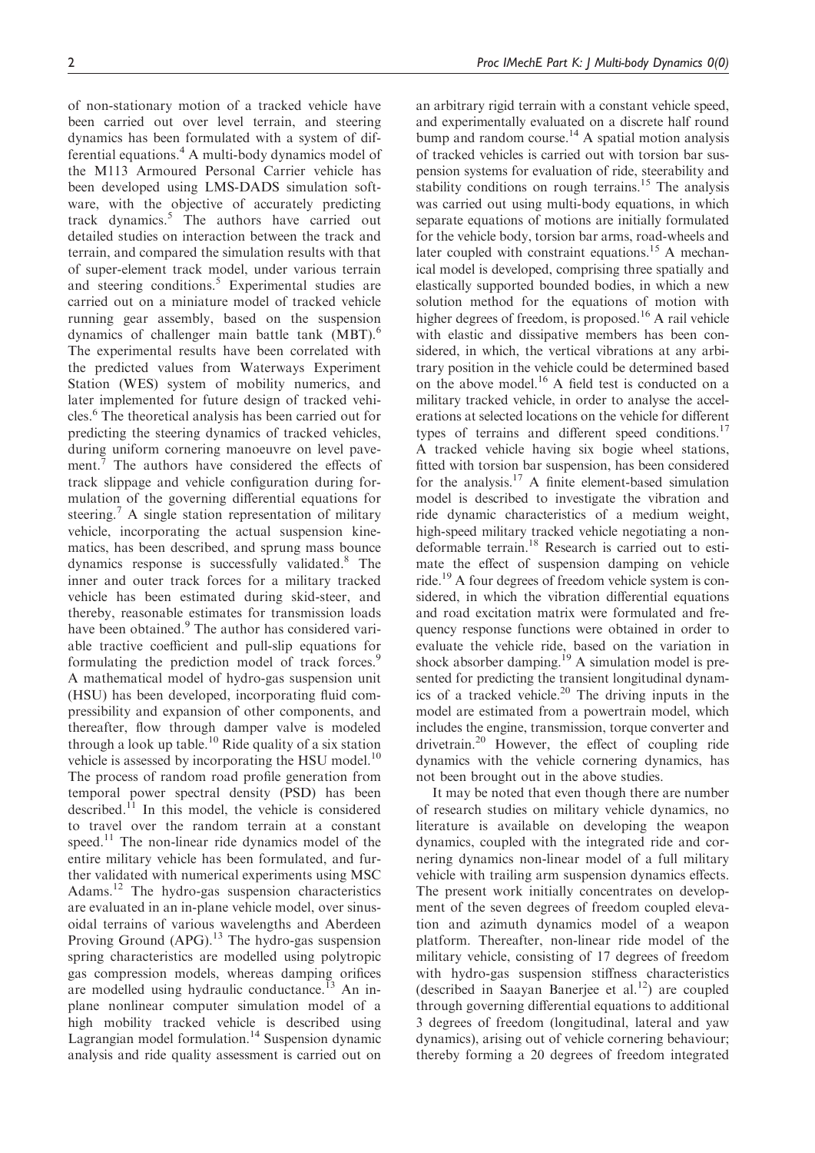of non-stationary motion of a tracked vehicle have been carried out over level terrain, and steering dynamics has been formulated with a system of differential equations. $4 \text{ A multi-body dynamics model of }$ the M113 Armoured Personal Carrier vehicle has been developed using LMS-DADS simulation software, with the objective of accurately predicting track dynamics.<sup>5</sup> The authors have carried out detailed studies on interaction between the track and terrain, and compared the simulation results with that of super-element track model, under various terrain and steering conditions.<sup>5</sup> Experimental studies are carried out on a miniature model of tracked vehicle running gear assembly, based on the suspension dynamics of challenger main battle tank (MBT).<sup>6</sup> The experimental results have been correlated with the predicted values from Waterways Experiment Station (WES) system of mobility numerics, and later implemented for future design of tracked vehicles.<sup>6</sup> The theoretical analysis has been carried out for predicting the steering dynamics of tracked vehicles, during uniform cornering manoeuvre on level pavement.<sup>7</sup> The authors have considered the effects of track slippage and vehicle configuration during formulation of the governing differential equations for steering.<sup>7</sup> A single station representation of military vehicle, incorporating the actual suspension kinematics, has been described, and sprung mass bounce dynamics response is successfully validated.<sup>8</sup> The inner and outer track forces for a military tracked vehicle has been estimated during skid-steer, and thereby, reasonable estimates for transmission loads have been obtained.<sup>9</sup> The author has considered variable tractive coefficient and pull-slip equations for formulating the prediction model of track forces.<sup>9</sup> A mathematical model of hydro-gas suspension unit (HSU) has been developed, incorporating fluid compressibility and expansion of other components, and thereafter, flow through damper valve is modeled through a look up table.<sup>10</sup> Ride quality of a six station vehicle is assessed by incorporating the HSU model.<sup>10</sup> The process of random road profile generation from temporal power spectral density (PSD) has been described.<sup>11</sup> In this model, the vehicle is considered to travel over the random terrain at a constant speed. $11$  The non-linear ride dynamics model of the entire military vehicle has been formulated, and further validated with numerical experiments using MSC Adams.<sup>12</sup> The hydro-gas suspension characteristics are evaluated in an in-plane vehicle model, over sinusoidal terrains of various wavelengths and Aberdeen Proving Ground  $(APG)$ .<sup>13</sup> The hydro-gas suspension spring characteristics are modelled using polytropic gas compression models, whereas damping orifices are modelled using hydraulic conductance.<sup>13</sup> An inplane nonlinear computer simulation model of a high mobility tracked vehicle is described using Lagrangian model formulation.<sup>14</sup> Suspension dynamic analysis and ride quality assessment is carried out on

an arbitrary rigid terrain with a constant vehicle speed, and experimentally evaluated on a discrete half round bump and random course.<sup>14</sup> A spatial motion analysis of tracked vehicles is carried out with torsion bar suspension systems for evaluation of ride, steerability and stability conditions on rough terrains.<sup>15</sup> The analysis was carried out using multi-body equations, in which separate equations of motions are initially formulated for the vehicle body, torsion bar arms, road-wheels and later coupled with constraint equations.<sup>15</sup> A mechanical model is developed, comprising three spatially and elastically supported bounded bodies, in which a new solution method for the equations of motion with higher degrees of freedom, is proposed.<sup>16</sup> A rail vehicle with elastic and dissipative members has been considered, in which, the vertical vibrations at any arbitrary position in the vehicle could be determined based on the above model.<sup>16</sup> A field test is conducted on a military tracked vehicle, in order to analyse the accelerations at selected locations on the vehicle for different types of terrains and different speed conditions.<sup>17</sup> A tracked vehicle having six bogie wheel stations, fitted with torsion bar suspension, has been considered for the analysis.<sup>17</sup> A finite element-based simulation model is described to investigate the vibration and ride dynamic characteristics of a medium weight, high-speed military tracked vehicle negotiating a nondeformable terrain.<sup>18</sup> Research is carried out to estimate the effect of suspension damping on vehicle ride.<sup>19</sup> A four degrees of freedom vehicle system is considered, in which the vibration differential equations and road excitation matrix were formulated and frequency response functions were obtained in order to evaluate the vehicle ride, based on the variation in shock absorber damping.<sup>19</sup> A simulation model is presented for predicting the transient longitudinal dynamics of a tracked vehicle.<sup>20</sup> The driving inputs in the model are estimated from a powertrain model, which includes the engine, transmission, torque converter and drivetrain.<sup>20</sup> However, the effect of coupling ride dynamics with the vehicle cornering dynamics, has not been brought out in the above studies.

It may be noted that even though there are number of research studies on military vehicle dynamics, no literature is available on developing the weapon dynamics, coupled with the integrated ride and cornering dynamics non-linear model of a full military vehicle with trailing arm suspension dynamics effects. The present work initially concentrates on development of the seven degrees of freedom coupled elevation and azimuth dynamics model of a weapon platform. Thereafter, non-linear ride model of the military vehicle, consisting of 17 degrees of freedom with hydro-gas suspension stiffness characteristics (described in Saayan Banerjee et al.<sup>12</sup>) are coupled through governing differential equations to additional 3 degrees of freedom (longitudinal, lateral and yaw dynamics), arising out of vehicle cornering behaviour; thereby forming a 20 degrees of freedom integrated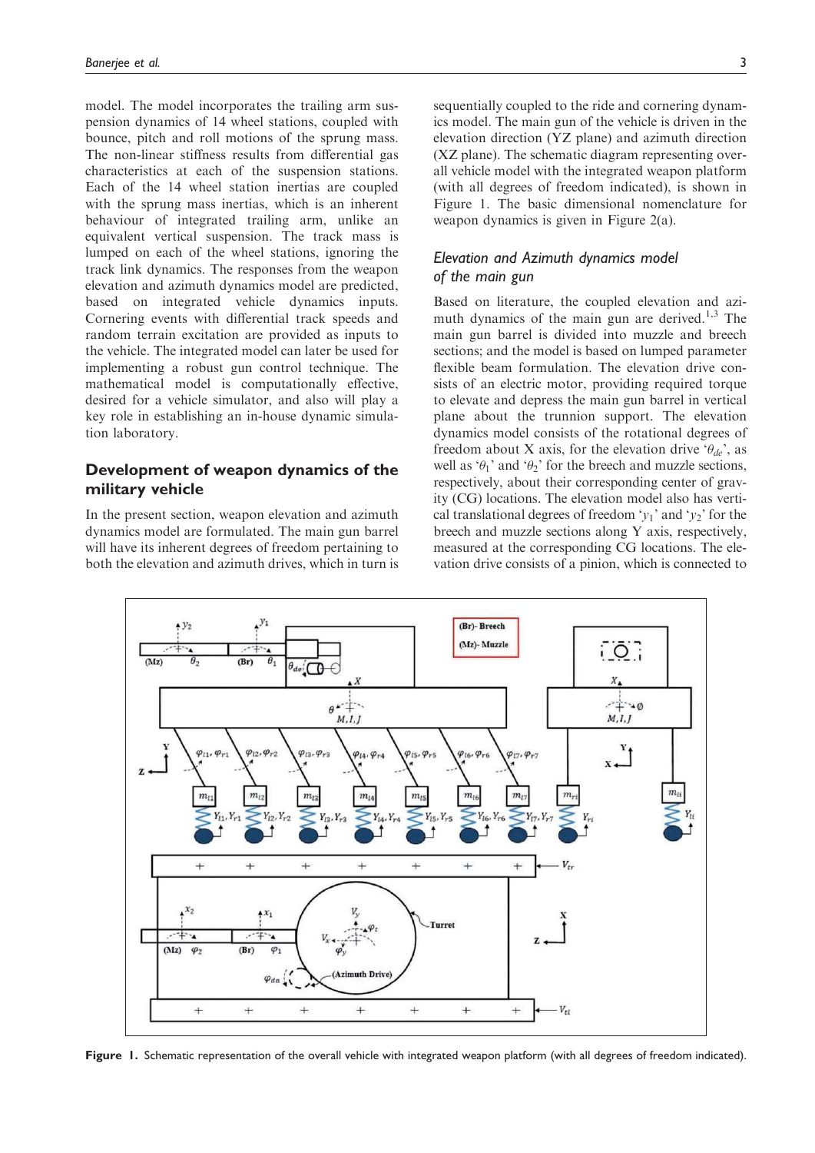model. The model incorporates the trailing arm suspension dynamics of 14 wheel stations, coupled with bounce, pitch and roll motions of the sprung mass. The non-linear stiffness results from differential gas characteristics at each of the suspension stations. Each of the 14 wheel station inertias are coupled with the sprung mass inertias, which is an inherent behaviour of integrated trailing arm, unlike an equivalent vertical suspension. The track mass is lumped on each of the wheel stations, ignoring the track link dynamics. The responses from the weapon elevation and azimuth dynamics model are predicted, based on integrated vehicle dynamics inputs. Cornering events with differential track speeds and random terrain excitation are provided as inputs to the vehicle. The integrated model can later be used for implementing a robust gun control technique. The mathematical model is computationally effective, desired for a vehicle simulator, and also will play a key role in establishing an in-house dynamic simulation laboratory.

### Development of weapon dynamics of the military vehicle

In the present section, weapon elevation and azimuth dynamics model are formulated. The main gun barrel will have its inherent degrees of freedom pertaining to both the elevation and azimuth drives, which in turn is

sequentially coupled to the ride and cornering dynamics model. The main gun of the vehicle is driven in the elevation direction (YZ plane) and azimuth direction (XZ plane). The schematic diagram representing overall vehicle model with the integrated weapon platform (with all degrees of freedom indicated), is shown in Figure 1. The basic dimensional nomenclature for weapon dynamics is given in Figure 2(a).

### *Elevation and Azimuth dynamics model of the main gun*

Based on literature, the coupled elevation and azimuth dynamics of the main gun are derived.<sup>1,3</sup> The main gun barrel is divided into muzzle and breech sections; and the model is based on lumped parameter flexible beam formulation. The elevation drive consists of an electric motor, providing required torque to elevate and depress the main gun barrel in vertical plane about the trunnion support. The elevation dynamics model consists of the rotational degrees of freedom about X axis, for the elevation drive ' $\theta_{de}$ ', as well as ' $\theta_1$ ' and ' $\theta_2$ ' for the breech and muzzle sections, respectively, about their corresponding center of gravity (CG) locations. The elevation model also has vertical translational degrees of freedom ' $y_1$ ' and ' $y_2$ ' for the breech and muzzle sections along Y axis, respectively, measured at the corresponding CG locations. The elevation drive consists of a pinion, which is connected to



Figure 1. Schematic representation of the overall vehicle with integrated weapon platform (with all degrees of freedom indicated).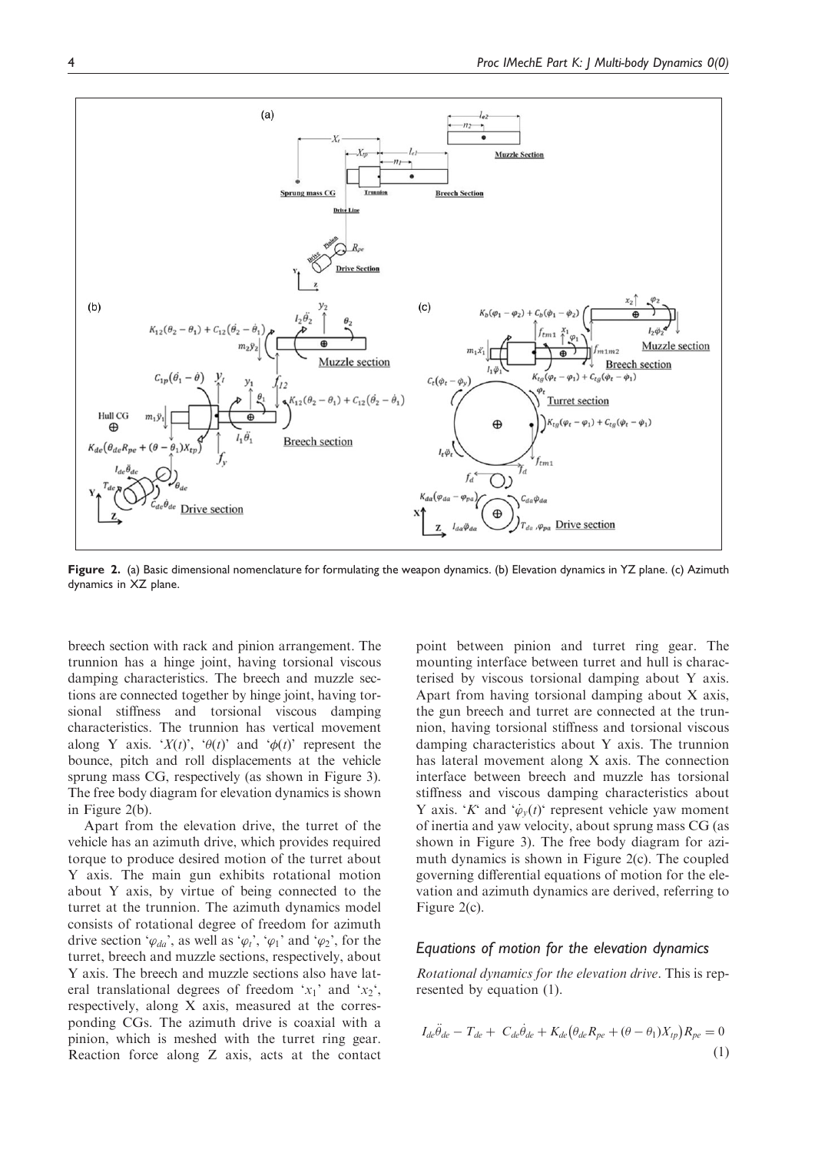

Figure 2. (a) Basic dimensional nomenclature for formulating the weapon dynamics. (b) Elevation dynamics in YZ plane. (c) Azimuth dynamics in XZ plane.

breech section with rack and pinion arrangement. The trunnion has a hinge joint, having torsional viscous damping characteristics. The breech and muzzle sections are connected together by hinge joint, having torsional stiffness and torsional viscous damping characteristics. The trunnion has vertical movement along Y axis. ' $X(t)$ ', ' $\theta(t)$ ' and ' $\phi(t)$ ' represent the bounce, pitch and roll displacements at the vehicle sprung mass CG, respectively (as shown in Figure 3). The free body diagram for elevation dynamics is shown in Figure 2(b).

Apart from the elevation drive, the turret of the vehicle has an azimuth drive, which provides required torque to produce desired motion of the turret about Y axis. The main gun exhibits rotational motion about Y axis, by virtue of being connected to the turret at the trunnion. The azimuth dynamics model consists of rotational degree of freedom for azimuth drive section ' $\varphi_{da}$ ', as well as ' $\varphi_t$ ', ' $\varphi_1$ ' and ' $\varphi_2$ ', for the turret, breech and muzzle sections, respectively, about Y axis. The breech and muzzle sections also have lateral translational degrees of freedom ' $x_1$ ' and ' $x_2$ ', respectively, along X axis, measured at the corresponding CGs. The azimuth drive is coaxial with a pinion, which is meshed with the turret ring gear. Reaction force along Z axis, acts at the contact point between pinion and turret ring gear. The mounting interface between turret and hull is characterised by viscous torsional damping about Y axis. Apart from having torsional damping about X axis, the gun breech and turret are connected at the trunnion, having torsional stiffness and torsional viscous damping characteristics about Y axis. The trunnion has lateral movement along X axis. The connection interface between breech and muzzle has torsional stiffness and viscous damping characteristics about Y axis. 'K' and ' $\dot{\varphi}_v(t)$ ' represent vehicle yaw moment of inertia and yaw velocity, about sprung mass CG (as shown in Figure 3). The free body diagram for azimuth dynamics is shown in Figure 2(c). The coupled governing differential equations of motion for the elevation and azimuth dynamics are derived, referring to Figure 2(c).

#### *Equations of motion for the elevation dynamics*

Rotational dynamics for the elevation drive. This is represented by equation (1).

$$
I_{de}\ddot{\theta}_{de} - T_{de} + C_{de}\dot{\theta}_{de} + K_{de}(\theta_{de}R_{pe} + (\theta - \theta_1)X_{tp})R_{pe} = 0
$$
\n(1)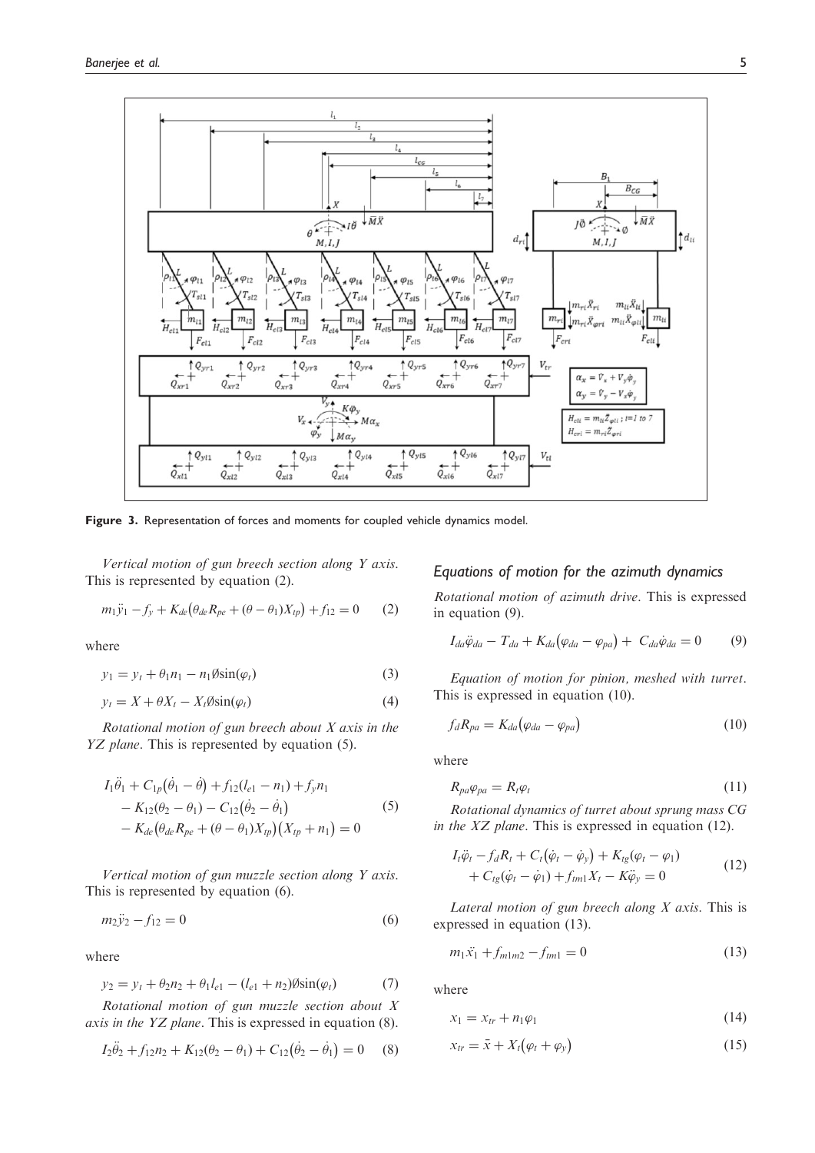

Figure 3. Representation of forces and moments for coupled vehicle dynamics model.

Vertical motion of gun breech section along Y axis. This is represented by equation (2).

$$
m_1 \ddot{y}_1 - f_y + K_{de} \left( \theta_{de} R_{pe} + (\theta - \theta_1) X_{tp} \right) + f_{12} = 0 \tag{2}
$$

where

$$
y_1 = y_t + \theta_1 n_1 - n_1 \theta \sin(\varphi_t) \tag{3}
$$

$$
y_t = X + \theta X_t - X_t \theta \sin(\varphi_t) \tag{4}
$$

Rotational motion of gun breech about X axis in the YZ plane. This is represented by equation (5).

$$
I_1\ddot{\theta}_1 + C_{1p}(\dot{\theta}_1 - \dot{\theta}) + f_{12}(l_{e1} - n_1) + f_{y}n_1
$$
  
- K<sub>12</sub>( $\theta_2 - \theta_1$ ) - C<sub>12</sub>( $\dot{\theta}_2 - \dot{\theta}_1$ ) (5)  
- K<sub>de</sub>( $\theta_{de}R_{pe} + (\theta - \theta_1)X_{tp}$ )( $X_{tp} + n_1$ ) = 0

Vertical motion of gun muzzle section along Y axis. This is represented by equation (6).

$$
m_2 \ddot{y}_2 - f_{12} = 0 \tag{6}
$$

where

$$
y_2 = y_t + \theta_2 n_2 + \theta_1 l_{e1} - (l_{e1} + n_2) \emptyset \sin(\varphi_t)
$$
 (7)

Rotational motion of gun muzzle section about X axis in the YZ plane. This is expressed in equation (8).

$$
I_2\ddot{\theta}_2 + f_{12}n_2 + K_{12}(\theta_2 - \theta_1) + C_{12}(\dot{\theta}_2 - \dot{\theta}_1) = 0
$$
 (8)

#### *Equations of motion for the azimuth dynamics*

Rotational motion of azimuth drive. This is expressed in equation (9).

$$
I_{da}\ddot{\varphi}_{da} - T_{da} + K_{da}(\varphi_{da} - \varphi_{pa}) + C_{da}\dot{\varphi}_{da} = 0 \tag{9}
$$

Equation of motion for pinion, meshed with turret. This is expressed in equation (10).

$$
f_d R_{pa} = K_{da} (\varphi_{da} - \varphi_{pa})
$$
 (10)

where

$$
R_{pa}\varphi_{pa} = R_t\varphi_t \tag{11}
$$

Rotational dynamics of turret about sprung mass CG in the  $XZ$  plane. This is expressed in equation (12).

$$
I_{t}\ddot{\varphi}_{t} - f_{d}R_{t} + C_{t}(\dot{\varphi}_{t} - \dot{\varphi}_{y}) + K_{tg}(\varphi_{t} - \varphi_{1}) + C_{tg}(\dot{\varphi}_{t} - \dot{\varphi}_{1}) + f_{tm1}X_{t} - K\ddot{\varphi}_{y} = 0
$$
\n(12)

Lateral motion of gun breech along  $X$  axis. This is expressed in equation (13).

$$
m_1\ddot{x}_1 + f_{m1m2} - f_{tm1} = 0 \tag{13}
$$

where

$$
x_1 = x_{tr} + n_1 \varphi_1 \tag{14}
$$

$$
x_{tr} = \bar{x} + X_t(\varphi_t + \varphi_y) \tag{15}
$$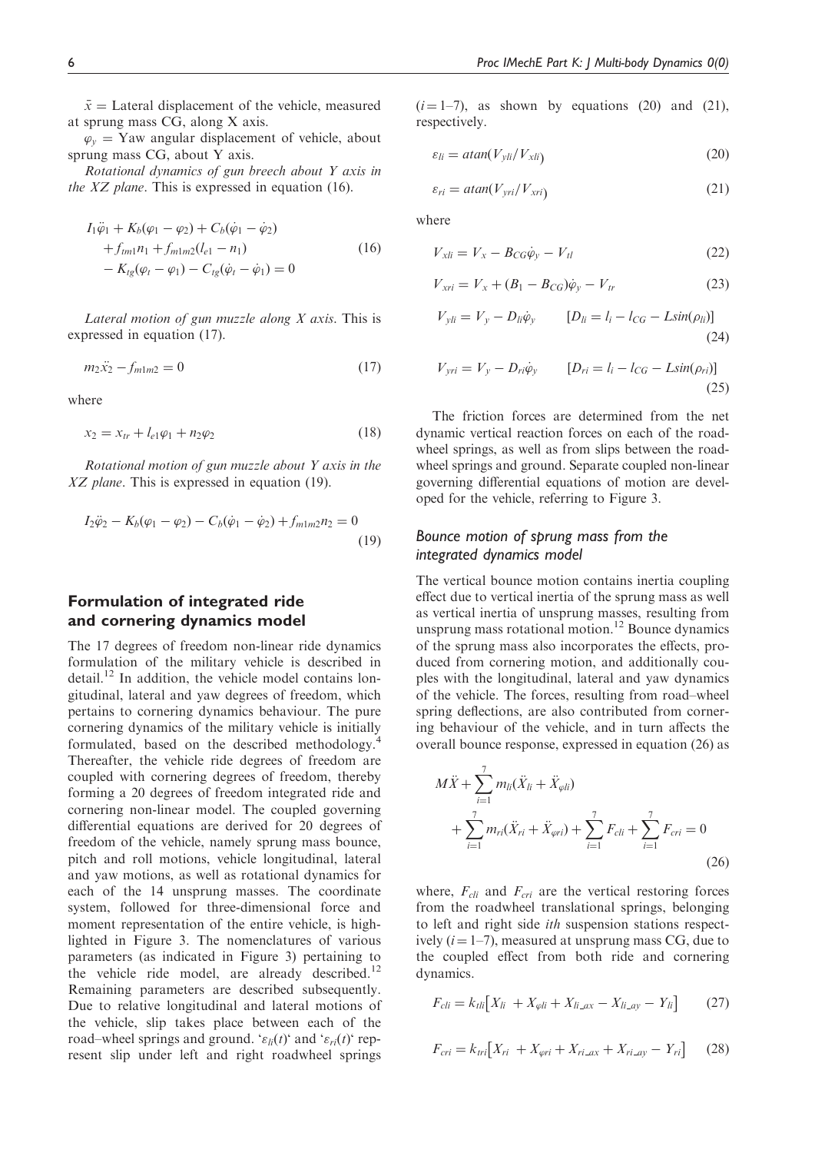$\bar{x}$  = Lateral displacement of the vehicle, measured at sprung mass CG, along X axis.

 $\varphi_{v}$  = Yaw angular displacement of vehicle, about sprung mass CG, about Y axis.

Rotational dynamics of gun breech about Y axis in the  $XZ$  plane. This is expressed in equation (16).

$$
I_1\ddot{\varphi}_1 + K_b(\varphi_1 - \varphi_2) + C_b(\dot{\varphi}_1 - \dot{\varphi}_2)
$$
  
+ 
$$
f_{m1}n_1 + f_{m1m2}(l_{e1} - n_1)
$$
  
- 
$$
K_{tg}(\varphi_t - \varphi_1) - C_{tg}(\dot{\varphi}_t - \dot{\varphi}_1) = 0
$$
 (16)

Lateral motion of gun muzzle along  $X$  axis. This is expressed in equation (17).

$$
m_2\ddot{x}_2 - f_{m1m2} = 0\tag{17}
$$

where

$$
x_2 = x_{tr} + l_{e1}\varphi_1 + n_2\varphi_2 \tag{18}
$$

Rotational motion of gun muzzle about Y axis in the XZ plane. This is expressed in equation (19).

$$
I_2\ddot{\varphi}_2 - K_b(\varphi_1 - \varphi_2) - C_b(\dot{\varphi}_1 - \dot{\varphi}_2) + f_{m1m2}n_2 = 0
$$
\n(19)

### Formulation of integrated ride and cornering dynamics model

The 17 degrees of freedom non-linear ride dynamics formulation of the military vehicle is described in detail.<sup>12</sup> In addition, the vehicle model contains longitudinal, lateral and yaw degrees of freedom, which pertains to cornering dynamics behaviour. The pure cornering dynamics of the military vehicle is initially formulated, based on the described methodology.<sup>4</sup> Thereafter, the vehicle ride degrees of freedom are coupled with cornering degrees of freedom, thereby forming a 20 degrees of freedom integrated ride and cornering non-linear model. The coupled governing differential equations are derived for 20 degrees of freedom of the vehicle, namely sprung mass bounce, pitch and roll motions, vehicle longitudinal, lateral and yaw motions, as well as rotational dynamics for each of the 14 unsprung masses. The coordinate system, followed for three-dimensional force and moment representation of the entire vehicle, is highlighted in Figure 3. The nomenclatures of various parameters (as indicated in Figure 3) pertaining to the vehicle ride model, are already described.<sup>12</sup> Remaining parameters are described subsequently. Due to relative longitudinal and lateral motions of the vehicle, slip takes place between each of the road–wheel springs and ground. ' $\varepsilon_{li}(t)$ ' and ' $\varepsilon_{ri}(t)$ ' represent slip under left and right roadwheel springs  $(i=1-7)$ , as shown by equations (20) and (21), respectively.

$$
\varepsilon_{li} = \text{atan}(V_{\text{yli}}/V_{\text{xli}}) \tag{20}
$$

$$
\varepsilon_{ri} = \text{atan}(V_{\text{yri}}/V_{\text{xri}}) \tag{21}
$$

where

$$
V_{xli} = V_x - B_{CG}\dot{\varphi}_y - V_{tl} \tag{22}
$$

$$
V_{xri} = V_x + (B_1 - B_{CG})\dot{\varphi}_y - V_{tr}
$$
 (23)

$$
V_{yli} = V_y - D_{li}\dot{\varphi}_y \qquad [D_{li} = l_i - l_{CG} - L\sin(\rho_{li})]
$$
\n(24)

$$
V_{yri} = V_y - D_{ri}\dot{\varphi}_y \qquad [D_{ri} = l_i - l_{CG} - L\sin(\rho_{ri})]
$$
\n(25)

The friction forces are determined from the net dynamic vertical reaction forces on each of the roadwheel springs, as well as from slips between the roadwheel springs and ground. Separate coupled non-linear governing differential equations of motion are developed for the vehicle, referring to Figure 3.

# *Bounce motion of sprung mass from the integrated dynamics model*

The vertical bounce motion contains inertia coupling effect due to vertical inertia of the sprung mass as well as vertical inertia of unsprung masses, resulting from unsprung mass rotational motion.<sup>12</sup> Bounce dynamics of the sprung mass also incorporates the effects, produced from cornering motion, and additionally couples with the longitudinal, lateral and yaw dynamics of the vehicle. The forces, resulting from road–wheel spring deflections, are also contributed from cornering behaviour of the vehicle, and in turn affects the overall bounce response, expressed in equation (26) as

$$
M\ddot{X} + \sum_{i=1}^{7} m_{li}(\ddot{X}_{li} + \ddot{X}_{qli}) + \sum_{i=1}^{7} m_{ri}(\ddot{X}_{ri} + \ddot{X}_{qri}) + \sum_{i=1}^{7} F_{cli} + \sum_{i=1}^{7} F_{cri} = 0
$$
\n(26)

where,  $F_{\text{cli}}$  and  $F_{\text{cri}}$  are the vertical restoring forces from the roadwheel translational springs, belonging to left and right side ith suspension stations respectively  $(i = 1-7)$ , measured at unsprung mass CG, due to the coupled effect from both ride and cornering dynamics.

$$
F_{\text{cli}} = k_{\text{tli}} \big[ X_{li} + X_{\text{phi}} + X_{li \text{ax}} - X_{li \text{ay}} - Y_{li} \big] \tag{27}
$$

$$
F_{cri} = k_{tri}[X_{ri} + X_{pri} + X_{ri\_\alpha x} + X_{ri\_\alpha y} - Y_{ri}] \tag{28}
$$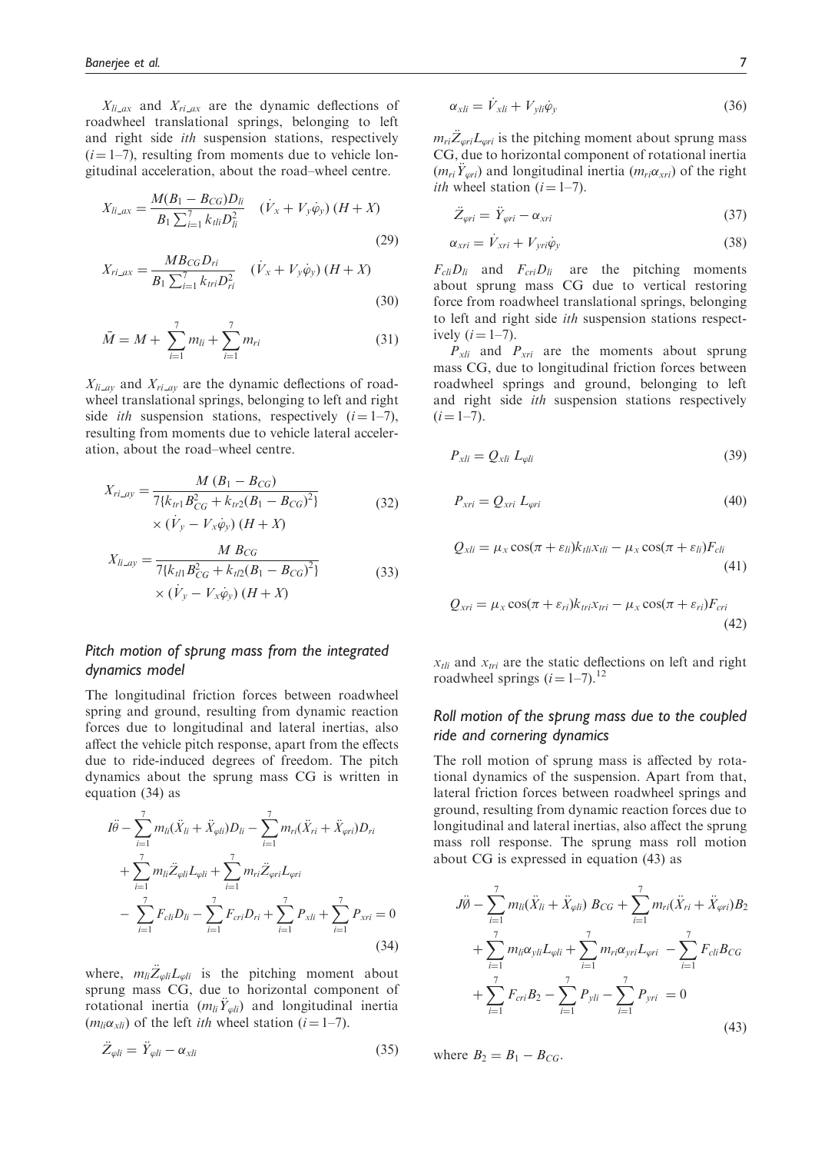$X_{li\_ax}$  and  $X_{ri\_ax}$  are the dynamic deflections of roadwheel translational springs, belonging to left and right side ith suspension stations, respectively  $(i = 1-7)$ , resulting from moments due to vehicle longitudinal acceleration, about the road–wheel centre.

$$
X_{li,ax} = \frac{M(B_1 - B_{CG})D_{li}}{B_1 \sum_{i=1}^{7} k_{li} D_{li}^2} \quad (\dot{V}_x + V_y \dot{\varphi}_y) (H + X)
$$
\n(29)

$$
X_{ri,ax} = \frac{MB_{CG}D_{ri}}{B_1 \sum_{i=1}^{7} k_{tri}D_{ri}^2} \quad (\dot{V}_x + V_y \dot{\varphi}_y) (H + X)
$$
\n(30)

$$
\bar{M} = M + \sum_{i=1}^{7} m_{li} + \sum_{i=1}^{7} m_{ri}
$$
 (31)

 $X_{li\_av}$  and  $X_{ri\_av}$  are the dynamic deflections of roadwheel translational springs, belonging to left and right side *ith* suspension stations, respectively  $(i = 1-7)$ , resulting from moments due to vehicle lateral acceleration, about the road–wheel centre.

$$
X_{ri\text{av}} = \frac{M (B_1 - B_{CG})}{7\{k_{tr1}B_{CG}^2 + k_{tr2}(B_1 - B_{CG})^2\}} \times (\dot{V}_y - V_x \dot{\varphi}_y) (H + X)
$$
(32)

$$
X_{ll\_ay} = \frac{M \, B_{CG}}{7\{k_{dl} \, B_{CG}^2 + k_{tl2} (B_1 - B_{CG})^2\}} \times (\dot{V}_y - V_x \dot{\varphi}_y) \, (H + X) \tag{33}
$$

#### *Pitch motion of sprung mass from the integrated dynamics model*

The longitudinal friction forces between roadwheel spring and ground, resulting from dynamic reaction forces due to longitudinal and lateral inertias, also affect the vehicle pitch response, apart from the effects due to ride-induced degrees of freedom. The pitch dynamics about the sprung mass CG is written in equation (34) as

$$
I\ddot{\theta} - \sum_{i=1}^{7} m_{li} (\ddot{X}_{li} + \ddot{X}_{qli}) D_{li} - \sum_{i=1}^{7} m_{ri} (\ddot{X}_{ri} + \ddot{X}_{qri}) D_{ri}
$$
  
+ 
$$
\sum_{i=1}^{7} m_{li} \ddot{Z}_{qli} L_{qli} + \sum_{i=1}^{7} m_{ri} \ddot{Z}_{qri} L_{qri}
$$
  
- 
$$
\sum_{i=1}^{7} F_{cli} D_{li} - \sum_{i=1}^{7} F_{cri} D_{ri} + \sum_{i=1}^{7} P_{xli} + \sum_{i=1}^{7} P_{xri} = 0
$$
(34)

where,  $m_{li}\ddot{Z}_{\varphi li}L_{\varphi li}$  is the pitching moment about sprung mass CG, due to horizontal component of rotational inertia  $(m_{li} \ddot{Y}_{\varphi li})$  and longitudinal inertia  $(m_{li} \alpha_{vl})$  of the left *ith* wheel station (*i* = 1–7).

$$
\ddot{Z}_{\varphi li} = \ddot{Y}_{\varphi li} - \alpha_{xli} \tag{35}
$$

$$
\alpha_{xli} = \dot{V}_{xli} + V_{yli}\dot{\varphi}_y \tag{36}
$$

 $m_{ri}\ddot{Z}_{pri}L_{pri}$  is the pitching moment about sprung mass CG, due to horizontal component of rotational inertia  $(m_{ri} \ddot{Y}_{pri})$  and longitudinal inertia  $(m_{ri}\alpha_{xri})$  of the right *ith* wheel station  $(i = 1-7)$ .

$$
\ddot{Z}_{pri} = \ddot{Y}_{pri} - \alpha_{xri} \tag{37}
$$

$$
\alpha_{xri} = \dot{V}_{xri} + V_{yri}\dot{\varphi}_y \tag{38}
$$

 $F_{\text{cli}}D_{\text{li}}$  and  $F_{\text{cri}}D_{\text{li}}$  are the pitching moments about sprung mass CG due to vertical restoring force from roadwheel translational springs, belonging to left and right side ith suspension stations respectively  $(i = 1-7)$ .

 $P_{xli}$  and  $P_{xri}$  are the moments about sprung mass CG, due to longitudinal friction forces between roadwheel springs and ground, belonging to left and right side *ith* suspension stations respectively  $(i = 1 - 7)$ .

$$
P_{xli} = Q_{xli} L_{\varphi li} \tag{39}
$$

$$
P_{xri} = Q_{xri} L_{\varphi ri} \tag{40}
$$

$$
Q_{xli} = \mu_x \cos(\pi + \varepsilon_{li}) k_{tli} x_{tli} - \mu_x \cos(\pi + \varepsilon_{li}) F_{cli}
$$
\n(41)

$$
Q_{xri} = \mu_x \cos(\pi + \varepsilon_{ri}) k_{tri} x_{tri} - \mu_x \cos(\pi + \varepsilon_{ri}) F_{cri}
$$
\n(42)

 $x_{tli}$  and  $x_{tri}$  are the static deflections on left and right roadwheel springs  $(i = 1-7)$ .<sup>12</sup>

### *Roll motion of the sprung mass due to the coupled ride and cornering dynamics*

The roll motion of sprung mass is affected by rotational dynamics of the suspension. Apart from that, lateral friction forces between roadwheel springs and ground, resulting from dynamic reaction forces due to longitudinal and lateral inertias, also affect the sprung mass roll response. The sprung mass roll motion about CG is expressed in equation (43) as

$$
J\ddot{\mathcal{Y}} - \sum_{i=1}^{7} m_{li}(\ddot{X}_{li} + \ddot{X}_{\varphi li}) B_{CG} + \sum_{i=1}^{7} m_{ri}(\ddot{X}_{ri} + \ddot{X}_{\varphi ri}) B_{2} + \sum_{i=1}^{7} m_{li} \alpha_{yli} L_{\varphi li} + \sum_{i=1}^{7} m_{ri} \alpha_{yri} L_{\varphi ri} - \sum_{i=1}^{7} F_{cli} B_{CG} + \sum_{i=1}^{7} F_{cri} B_{2} - \sum_{i=1}^{7} P_{yli} - \sum_{i=1}^{7} P_{yri} = 0
$$
\n(43)

where  $B_2 = B_1 - B_{CG}$ .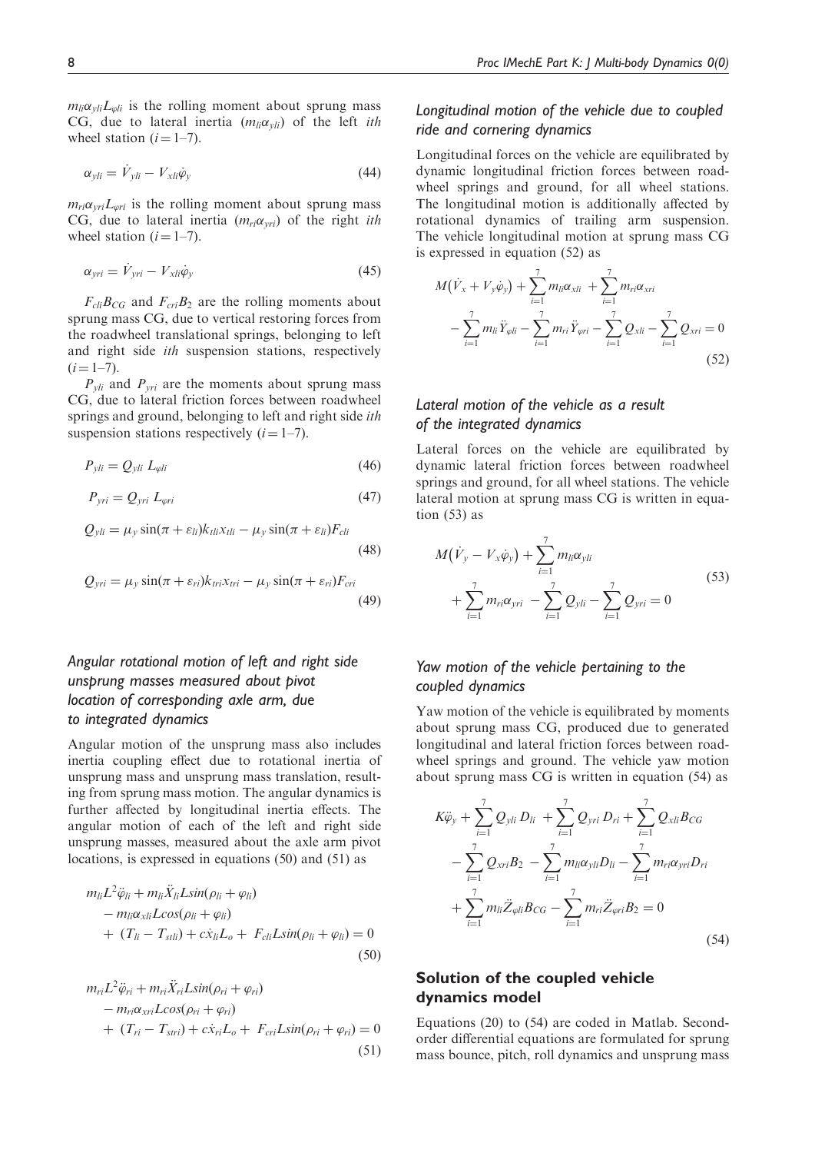$m_{li} \alpha_{vli} L_{\varphi li}$  is the rolling moment about sprung mass CG, due to lateral inertia  $(m_{li}\alpha_{vli})$  of the left *ith* wheel station  $(i = 1-7)$ .

$$
\alpha_{yli} = \dot{V}_{yli} - V_{xli}\dot{\varphi}_y \tag{44}
$$

 $m_{ri}\alpha_{vri}L_{ori}$  is the rolling moment about sprung mass CG, due to lateral inertia  $(m_{ri}\alpha_{vri})$  of the right *ith* wheel station  $(i = 1-7)$ .

$$
\alpha_{yri} = \dot{V}_{yri} - V_{xli}\dot{\varphi}_y \tag{45}
$$

 $F_{\text{cli}}B_{\text{CG}}$  and  $F_{\text{cri}}B_2$  are the rolling moments about sprung mass CG, due to vertical restoring forces from the roadwheel translational springs, belonging to left and right side ith suspension stations, respectively  $(i = 1 - 7)$ .

 $P_{vli}$  and  $P_{vri}$  are the moments about sprung mass CG, due to lateral friction forces between roadwheel springs and ground, belonging to left and right side *ith* suspension stations respectively  $(i = 1-7)$ .

$$
P_{yli} = Q_{yli} L_{\varphi li} \tag{46}
$$

$$
P_{yri} = Q_{yri} L_{\varphi ri} \tag{47}
$$

$$
Q_{yli} = \mu_y \sin(\pi + \varepsilon_{li}) k_{tli} x_{tli} - \mu_y \sin(\pi + \varepsilon_{li}) F_{cli}
$$
\n(48)

$$
Q_{yri} = \mu_y \sin(\pi + \varepsilon_{ri}) k_{tri} x_{tri} - \mu_y \sin(\pi + \varepsilon_{ri}) F_{cri}
$$
\n(49)

# *Angular rotational motion of left and right side unsprung masses measured about pivot location of corresponding axle arm, due to integrated dynamics*

Angular motion of the unsprung mass also includes inertia coupling effect due to rotational inertia of unsprung mass and unsprung mass translation, resulting from sprung mass motion. The angular dynamics is further affected by longitudinal inertia effects. The angular motion of each of the left and right side unsprung masses, measured about the axle arm pivot locations, is expressed in equations (50) and (51) as

$$
m_{li}L^2\ddot{\varphi}_{li} + m_{li}\ddot{X}_{li}Lsin(\rho_{li} + \varphi_{li})
$$
  
-  $m_{li}\alpha_{xli}Lcos(\rho_{li} + \varphi_{li})$   
+  $(T_{li} - T_{stli}) + c\dot{x}_{li}L_o + F_{ci}Lsin(\rho_{li} + \varphi_{li}) = 0$   
(50)

$$
m_{ri}L^2\ddot{\varphi}_{ri} + m_{ri}\ddot{X}_{ri}L\sin(\rho_{ri} + \varphi_{ri})
$$
  
-  $m_{ri}\alpha_{xri}L\cos(\rho_{ri} + \varphi_{ri})$   
+  $(T_{ri} - T_{stri}) + c\dot{x}_{ri}L_o + F_{cri}L\sin(\rho_{ri} + \varphi_{ri}) = 0$   
(51)

### *Longitudinal motion of the vehicle due to coupled ride and cornering dynamics*

Longitudinal forces on the vehicle are equilibrated by dynamic longitudinal friction forces between roadwheel springs and ground, for all wheel stations. The longitudinal motion is additionally affected by rotational dynamics of trailing arm suspension. The vehicle longitudinal motion at sprung mass CG is expressed in equation (52) as

$$
M(\dot{V}_x + V_y \dot{\varphi}_y) + \sum_{i=1}^7 m_{li} \alpha_{xli} + \sum_{i=1}^7 m_{ri} \alpha_{xri} - \sum_{i=1}^7 m_{li} \ddot{Y}_{\varphi li} - \sum_{i=1}^7 m_{ri} \ddot{Y}_{\varphi ri} - \sum_{i=1}^7 Q_{xli} - \sum_{i=1}^7 Q_{xri} = 0
$$
\n(52)

### *Lateral motion of the vehicle as a result of the integrated dynamics*

Lateral forces on the vehicle are equilibrated by dynamic lateral friction forces between roadwheel springs and ground, for all wheel stations. The vehicle lateral motion at sprung mass CG is written in equation (53) as

$$
M(\dot{V}_y - V_x \dot{\varphi}_y) + \sum_{i=1}^7 m_{li} \alpha_{yli} + \sum_{i=1}^7 m_{ri} \alpha_{yri} - \sum_{i=1}^7 Q_{yli} - \sum_{i=1}^7 Q_{yri} = 0
$$
 (53)

### *Yaw motion of the vehicle pertaining to the coupled dynamics*

Yaw motion of the vehicle is equilibrated by moments about sprung mass CG, produced due to generated longitudinal and lateral friction forces between roadwheel springs and ground. The vehicle yaw motion about sprung mass CG is written in equation (54) as

$$
K\ddot{\varphi}_y + \sum_{i=1}^7 Q_{yli} D_{li} + \sum_{i=1}^7 Q_{yri} D_{ri} + \sum_{i=1}^7 Q_{xli} B_{CG}
$$
  

$$
- \sum_{i=1}^7 Q_{xri} B_2 - \sum_{i=1}^7 m_{li} \alpha_{yli} D_{li} - \sum_{i=1}^7 m_{ri} \alpha_{yri} D_{ri}
$$
  

$$
+ \sum_{i=1}^7 m_{li} \ddot{Z}_{\varphi li} B_{CG} - \sum_{i=1}^7 m_{ri} \ddot{Z}_{\varphi ri} B_2 = 0
$$
(54)

### Solution of the coupled vehicle dynamics model

Equations (20) to (54) are coded in Matlab. Secondorder differential equations are formulated for sprung mass bounce, pitch, roll dynamics and unsprung mass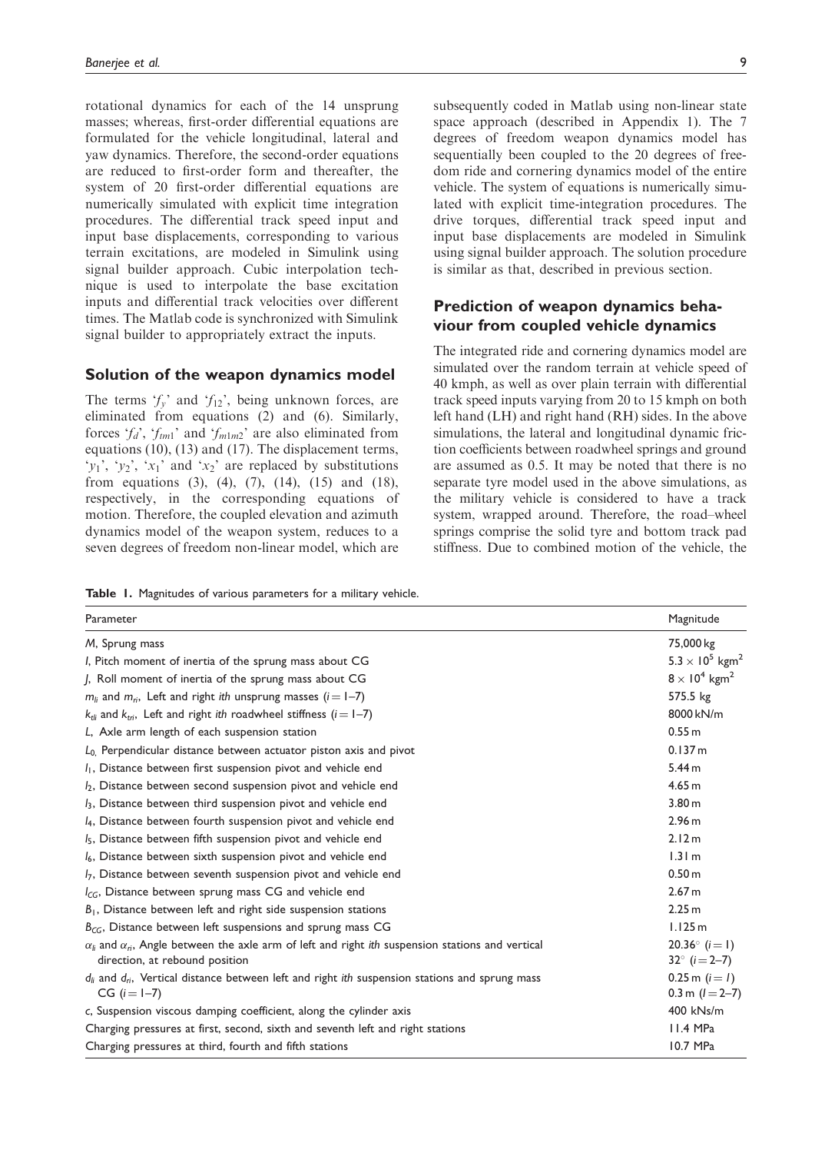rotational dynamics for each of the 14 unsprung masses; whereas, first-order differential equations are formulated for the vehicle longitudinal, lateral and yaw dynamics. Therefore, the second-order equations are reduced to first-order form and thereafter, the system of 20 first-order differential equations are numerically simulated with explicit time integration procedures. The differential track speed input and input base displacements, corresponding to various terrain excitations, are modeled in Simulink using signal builder approach. Cubic interpolation technique is used to interpolate the base excitation inputs and differential track velocities over different times. The Matlab code is synchronized with Simulink signal builder to appropriately extract the inputs.

#### Solution of the weapon dynamics model

The terms  $f_v$  and  $f_{12}$ , being unknown forces, are eliminated from equations (2) and (6). Similarly, forces  $f_d$ ,  $f_{tm1}$  and  $f_{m1m2}$  are also eliminated from equations (10), (13) and (17). The displacement terms, 'y<sub>1</sub>', 'y<sub>2</sub>', 'x<sub>1</sub>' and 'x<sub>2</sub>' are replaced by substitutions from equations (3), (4), (7), (14), (15) and (18), respectively, in the corresponding equations of motion. Therefore, the coupled elevation and azimuth dynamics model of the weapon system, reduces to a seven degrees of freedom non-linear model, which are

subsequently coded in Matlab using non-linear state space approach (described in Appendix 1). The 7 degrees of freedom weapon dynamics model has sequentially been coupled to the 20 degrees of freedom ride and cornering dynamics model of the entire vehicle. The system of equations is numerically simulated with explicit time-integration procedures. The drive torques, differential track speed input and input base displacements are modeled in Simulink using signal builder approach. The solution procedure is similar as that, described in previous section.

### Prediction of weapon dynamics behaviour from coupled vehicle dynamics

The integrated ride and cornering dynamics model are simulated over the random terrain at vehicle speed of 40 kmph, as well as over plain terrain with differential track speed inputs varying from 20 to 15 kmph on both left hand (LH) and right hand (RH) sides. In the above simulations, the lateral and longitudinal dynamic friction coefficients between roadwheel springs and ground are assumed as 0.5. It may be noted that there is no separate tyre model used in the above simulations, as the military vehicle is considered to have a track system, wrapped around. Therefore, the road–wheel springs comprise the solid tyre and bottom track pad stiffness. Due to combined motion of the vehicle, the

Table 1. Magnitudes of various parameters for a military vehicle.

| Parameter                                                                                                                                                    | Magnitude                                         |
|--------------------------------------------------------------------------------------------------------------------------------------------------------------|---------------------------------------------------|
| M, Sprung mass                                                                                                                                               | 75,000 kg                                         |
| I, Pitch moment of inertia of the sprung mass about CG                                                                                                       | $5.3 \times 10^{5}$ kgm <sup>2</sup>              |
| J, Roll moment of inertia of the sprung mass about CG                                                                                                        | $8 \times 10^4$ kgm <sup>2</sup>                  |
| $m_{li}$ and $m_{ri}$ , Left and right <i>ith</i> unsprung masses ( <i>i</i> = 1-7)                                                                          | 575.5 kg                                          |
| $k_{tii}$ and $k_{tri}$ , Left and right <i>ith</i> roadwheel stiffness ( <i>i</i> = 1-7)                                                                    | 8000 kN/m                                         |
| L, Axle arm length of each suspension station                                                                                                                | 0.55 m                                            |
| $L_0$ . Perpendicular distance between actuator piston axis and pivot                                                                                        | 0.137 m                                           |
| $I1$ , Distance between first suspension pivot and vehicle end                                                                                               | 5.44 <sub>m</sub>                                 |
| $l_2$ , Distance between second suspension pivot and vehicle end                                                                                             | 4.65 m                                            |
| $l_3$ , Distance between third suspension pivot and vehicle end                                                                                              | 3.80 <sub>m</sub>                                 |
| $l_4$ , Distance between fourth suspension pivot and vehicle end                                                                                             | 2.96 m                                            |
| $I5$ , Distance between fifth suspension pivot and vehicle end                                                                                               | 2.12 <sub>m</sub>                                 |
| $l_6$ , Distance between sixth suspension pivot and vehicle end                                                                                              | 1.31 <sub>m</sub>                                 |
| $I_7$ , Distance between seventh suspension pivot and vehicle end                                                                                            | 0.50 <sub>m</sub>                                 |
| $I_{CG}$ , Distance between sprung mass CG and vehicle end                                                                                                   | 2.67 m                                            |
| $B1$ , Distance between left and right side suspension stations                                                                                              | 2.25 <sub>m</sub>                                 |
| $B_{CG}$ , Distance between left suspensions and sprung mass CG                                                                                              | 1.125m                                            |
| $\alpha_{li}$ and $\alpha_{ri}$ , Angle between the axle arm of left and right <i>ith</i> suspension stations and vertical<br>direction, at rebound position | $20.36^{\circ}$ (i = 1)<br>$32^{\circ}$ (i = 2–7) |
| $d_{li}$ and $d_{ri}$ . Vertical distance between left and right <i>ith</i> suspension stations and sprung mass<br>$CG (i = 1 - 7)$                          | 0.25 m $(i = 1)$<br>$0.3$ m ( $l = 2-7$ )         |
| c, Suspension viscous damping coefficient, along the cylinder axis                                                                                           | 400 kNs/m                                         |
| Charging pressures at first, second, sixth and seventh left and right stations                                                                               | 11.4 MPa                                          |
| Charging pressures at third, fourth and fifth stations                                                                                                       | 10.7 MPa                                          |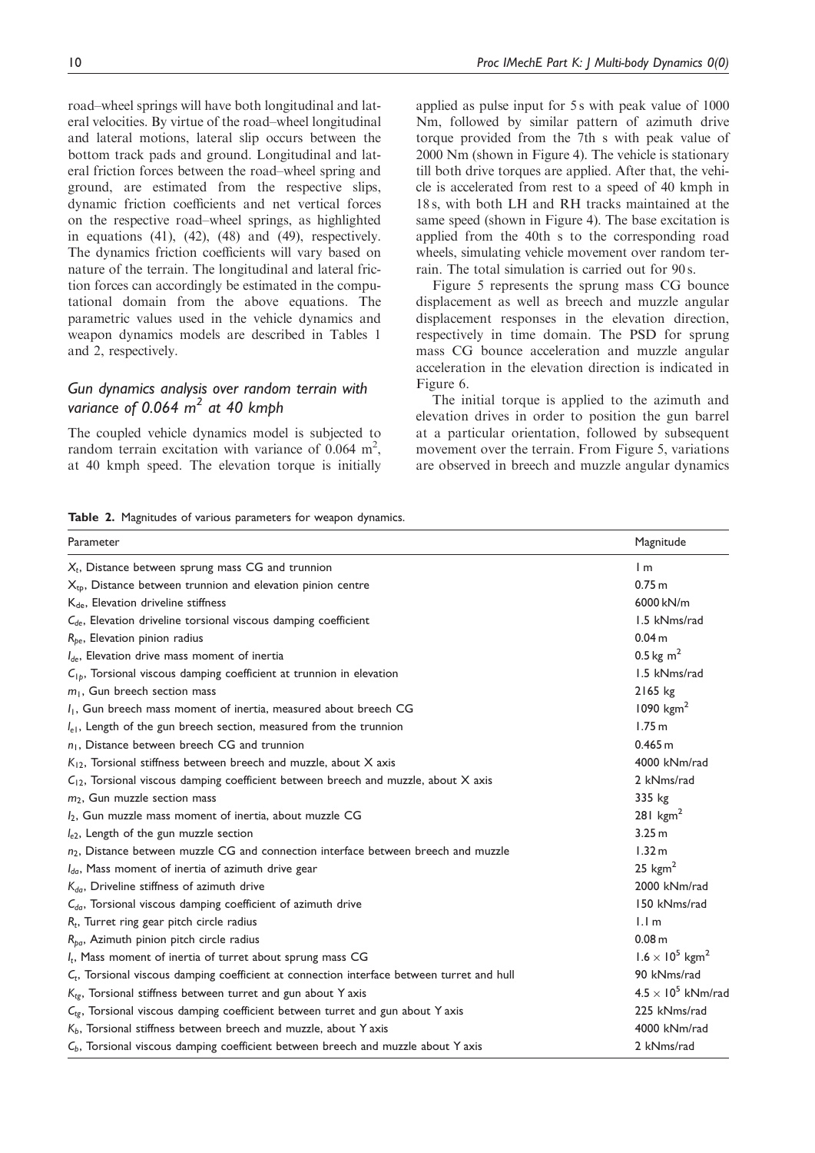road–wheel springs will have both longitudinal and lateral velocities. By virtue of the road–wheel longitudinal and lateral motions, lateral slip occurs between the bottom track pads and ground. Longitudinal and lateral friction forces between the road–wheel spring and ground, are estimated from the respective slips, dynamic friction coefficients and net vertical forces on the respective road–wheel springs, as highlighted in equations  $(41)$ ,  $(42)$ ,  $(48)$  and  $(49)$ , respectively. The dynamics friction coefficients will vary based on nature of the terrain. The longitudinal and lateral friction forces can accordingly be estimated in the computational domain from the above equations. The parametric values used in the vehicle dynamics and weapon dynamics models are described in Tables 1 and 2, respectively.

## *Gun dynamics analysis over random terrain with variance of 0.064 m<sup>2</sup> at 40 kmph*

The coupled vehicle dynamics model is subjected to random terrain excitation with variance of  $0.064 \text{ m}^2$ , at 40 kmph speed. The elevation torque is initially applied as pulse input for 5 s with peak value of 1000 Nm, followed by similar pattern of azimuth drive torque provided from the 7th s with peak value of 2000 Nm (shown in Figure 4). The vehicle is stationary till both drive torques are applied. After that, the vehicle is accelerated from rest to a speed of 40 kmph in 18 s, with both LH and RH tracks maintained at the same speed (shown in Figure 4). The base excitation is applied from the 40th s to the corresponding road wheels, simulating vehicle movement over random terrain. The total simulation is carried out for 90 s.

Figure 5 represents the sprung mass CG bounce displacement as well as breech and muzzle angular displacement responses in the elevation direction, respectively in time domain. The PSD for sprung mass CG bounce acceleration and muzzle angular acceleration in the elevation direction is indicated in Figure 6.

The initial torque is applied to the azimuth and elevation drives in order to position the gun barrel at a particular orientation, followed by subsequent movement over the terrain. From Figure 5, variations are observed in breech and muzzle angular dynamics

Table 2. Magnitudes of various parameters for weapon dynamics.

| Parameter                                                                                     | Magnitude                          |
|-----------------------------------------------------------------------------------------------|------------------------------------|
| $X_t$ , Distance between sprung mass CG and trunnion                                          | l m                                |
| $X_{\text{to}}$ , Distance between trunnion and elevation pinion centre                       | 0.75 <sub>m</sub>                  |
| K <sub>de</sub> , Elevation driveline stiffness                                               | 6000 kN/m                          |
| $C_{de}$ , Elevation driveline torsional viscous damping coefficient                          | 1.5 kNms/rad                       |
| $R_{be}$ , Elevation pinion radius                                                            | 0.04 m                             |
| $I_{de}$ , Elevation drive mass moment of inertia                                             | 0.5 kg $m^2$                       |
| $C_{1p}$ , Torsional viscous damping coefficient at trunnion in elevation                     | 1.5 kNms/rad                       |
| $m_1$ , Gun breech section mass                                                               | $2165$ $kg$                        |
| $I_1$ , Gun breech mass moment of inertia, measured about breech CG                           | $1090$ kgm <sup>2</sup>            |
| $l_{el}$ , Length of the gun breech section, measured from the trunnion                       | 1.75 <sub>m</sub>                  |
| $n_1$ , Distance between breech CG and trunnion                                               | 0.465 m                            |
| $K_{12}$ , Torsional stiffness between breech and muzzle, about X axis                        | 4000 kNm/rad                       |
| $C_{12}$ , Torsional viscous damping coefficient between breech and muzzle, about X axis      | 2 kNms/rad                         |
| $m2$ , Gun muzzle section mass                                                                | 335 kg                             |
| $I_2$ , Gun muzzle mass moment of inertia, about muzzle CG                                    | 281 $kgm2$                         |
| $l_{e2}$ , Length of the gun muzzle section                                                   | 3.25 <sub>m</sub>                  |
| $n_2$ , Distance between muzzle CG and connection interface between breech and muzzle         | 1.32 <sub>m</sub>                  |
| $I_{da}$ , Mass moment of inertia of azimuth drive gear                                       | 25 $kgm2$                          |
| $K_{da}$ , Driveline stiffness of azimuth drive                                               | 2000 kNm/rad                       |
| $C_{da}$ , Torsional viscous damping coefficient of azimuth drive                             | 150 kNms/rad                       |
| $R_t$ , Turret ring gear pitch circle radius                                                  | 1.1 <sub>m</sub>                   |
| $R_{ba}$ , Azimuth pinion pitch circle radius                                                 | 0.08 <sub>m</sub>                  |
| I <sub>t</sub> , Mass moment of inertia of turret about sprung mass CG                        | $1.6 \times 10^5$ kgm <sup>2</sup> |
| $C_t$ , Torsional viscous damping coefficient at connection interface between turret and hull | 90 kNms/rad                        |
| $K_{t\sigma}$ , Torsional stiffness between turret and gun about Y axis                       | $4.5 \times 10^5$ kNm/rad          |
| $C_{te}$ , Torsional viscous damping coefficient between turret and gun about Y axis          | 225 kNms/rad                       |
| $K_b$ , Torsional stiffness between breech and muzzle, about Y axis                           | 4000 kNm/rad                       |
| $C_b$ , Torsional viscous damping coefficient between breech and muzzle about Y axis          | 2 kNms/rad                         |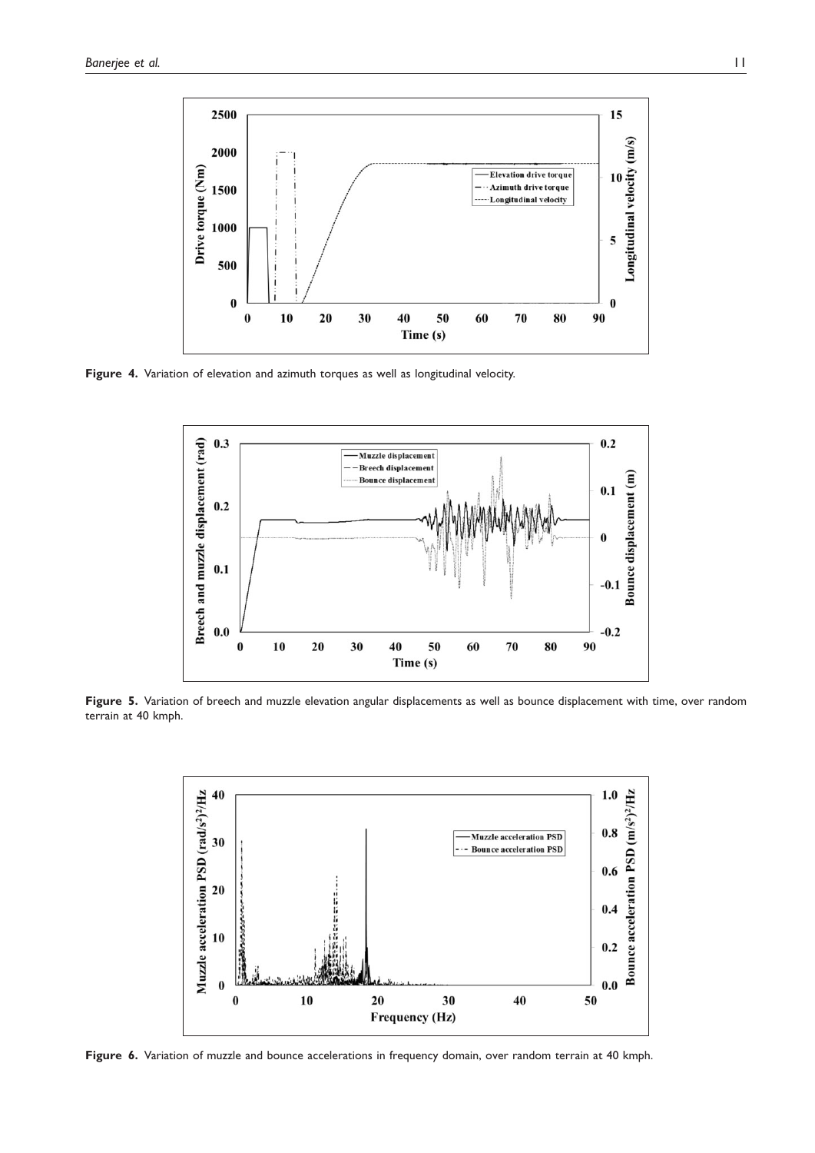

Figure 4. Variation of elevation and azimuth torques as well as longitudinal velocity.



Figure 5. Variation of breech and muzzle elevation angular displacements as well as bounce displacement with time, over random terrain at 40 kmph.



Figure 6. Variation of muzzle and bounce accelerations in frequency domain, over random terrain at 40 kmph.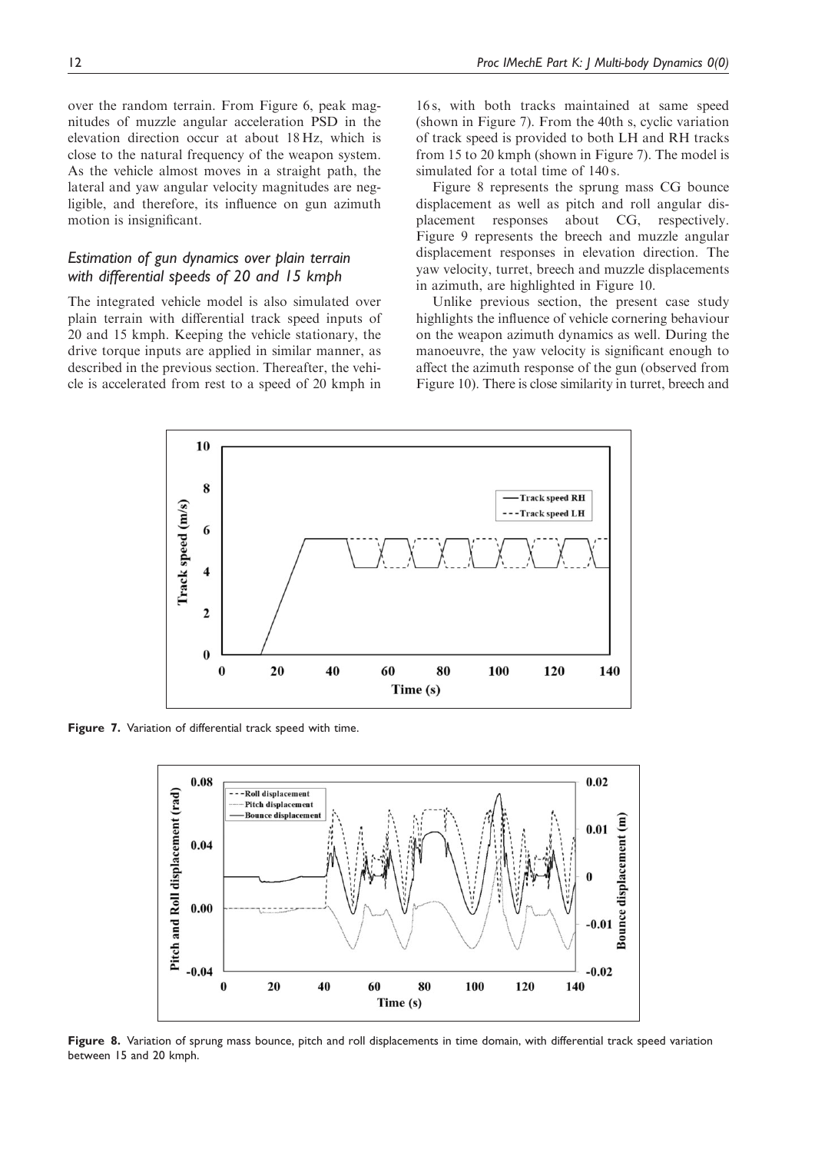over the random terrain. From Figure 6, peak magnitudes of muzzle angular acceleration PSD in the elevation direction occur at about 18 Hz, which is close to the natural frequency of the weapon system. As the vehicle almost moves in a straight path, the lateral and yaw angular velocity magnitudes are negligible, and therefore, its influence on gun azimuth motion is insignificant.

### *Estimation of gun dynamics over plain terrain with differential speeds of 20 and 15 kmph*

The integrated vehicle model is also simulated over plain terrain with differential track speed inputs of 20 and 15 kmph. Keeping the vehicle stationary, the drive torque inputs are applied in similar manner, as described in the previous section. Thereafter, the vehicle is accelerated from rest to a speed of 20 kmph in 16 s, with both tracks maintained at same speed (shown in Figure 7). From the 40th s, cyclic variation of track speed is provided to both LH and RH tracks from 15 to 20 kmph (shown in Figure 7). The model is simulated for a total time of 140 s.

Figure 8 represents the sprung mass CG bounce displacement as well as pitch and roll angular displacement responses about CG, respectively. Figure 9 represents the breech and muzzle angular displacement responses in elevation direction. The yaw velocity, turret, breech and muzzle displacements in azimuth, are highlighted in Figure 10.

Unlike previous section, the present case study highlights the influence of vehicle cornering behaviour on the weapon azimuth dynamics as well. During the manoeuvre, the yaw velocity is significant enough to affect the azimuth response of the gun (observed from Figure 10). There is close similarity in turret, breech and



Figure 7. Variation of differential track speed with time.



Figure 8. Variation of sprung mass bounce, pitch and roll displacements in time domain, with differential track speed variation between 15 and 20 kmph.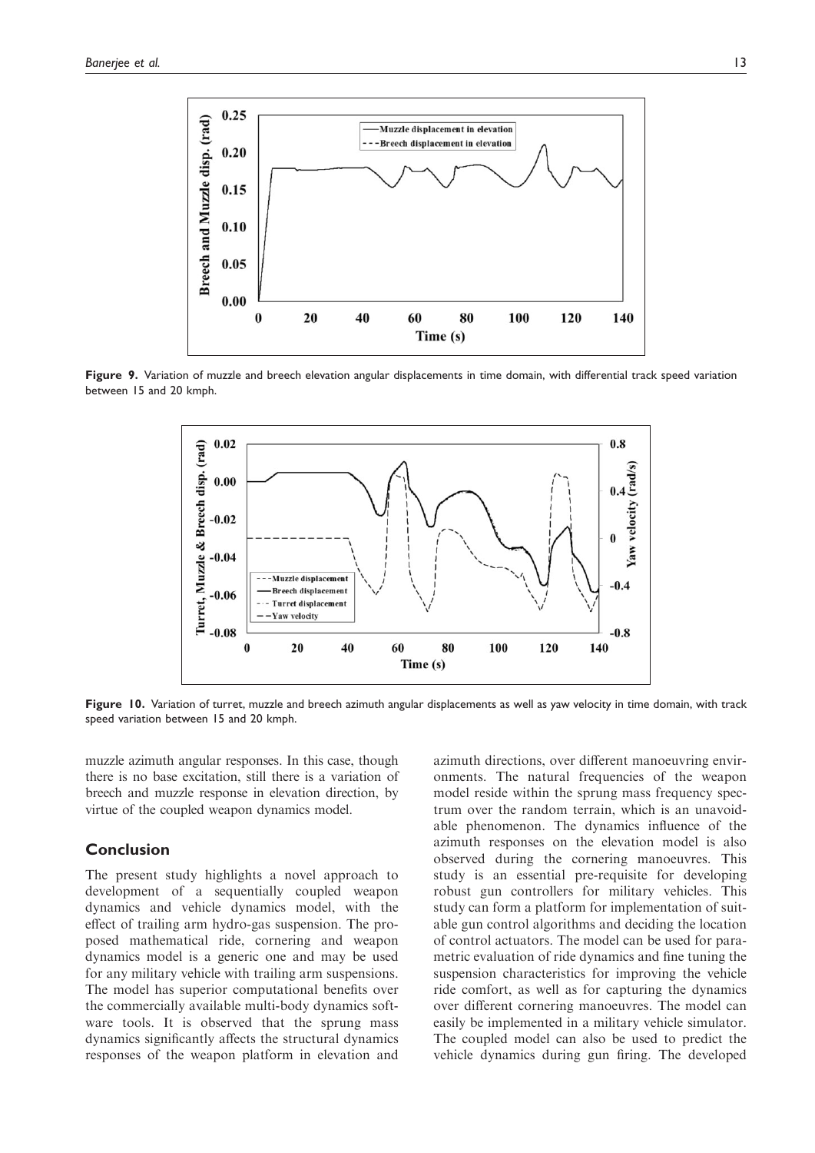

Figure 9. Variation of muzzle and breech elevation angular displacements in time domain, with differential track speed variation between 15 and 20 kmph.



Figure 10. Variation of turret, muzzle and breech azimuth angular displacements as well as yaw velocity in time domain, with track speed variation between 15 and 20 kmph.

muzzle azimuth angular responses. In this case, though there is no base excitation, still there is a variation of breech and muzzle response in elevation direction, by virtue of the coupled weapon dynamics model.

### Conclusion

The present study highlights a novel approach to development of a sequentially coupled weapon dynamics and vehicle dynamics model, with the effect of trailing arm hydro-gas suspension. The proposed mathematical ride, cornering and weapon dynamics model is a generic one and may be used for any military vehicle with trailing arm suspensions. The model has superior computational benefits over the commercially available multi-body dynamics software tools. It is observed that the sprung mass dynamics significantly affects the structural dynamics responses of the weapon platform in elevation and

azimuth directions, over different manoeuvring environments. The natural frequencies of the weapon model reside within the sprung mass frequency spectrum over the random terrain, which is an unavoidable phenomenon. The dynamics influence of the azimuth responses on the elevation model is also observed during the cornering manoeuvres. This study is an essential pre-requisite for developing robust gun controllers for military vehicles. This study can form a platform for implementation of suitable gun control algorithms and deciding the location of control actuators. The model can be used for parametric evaluation of ride dynamics and fine tuning the suspension characteristics for improving the vehicle ride comfort, as well as for capturing the dynamics over different cornering manoeuvres. The model can easily be implemented in a military vehicle simulator. The coupled model can also be used to predict the vehicle dynamics during gun firing. The developed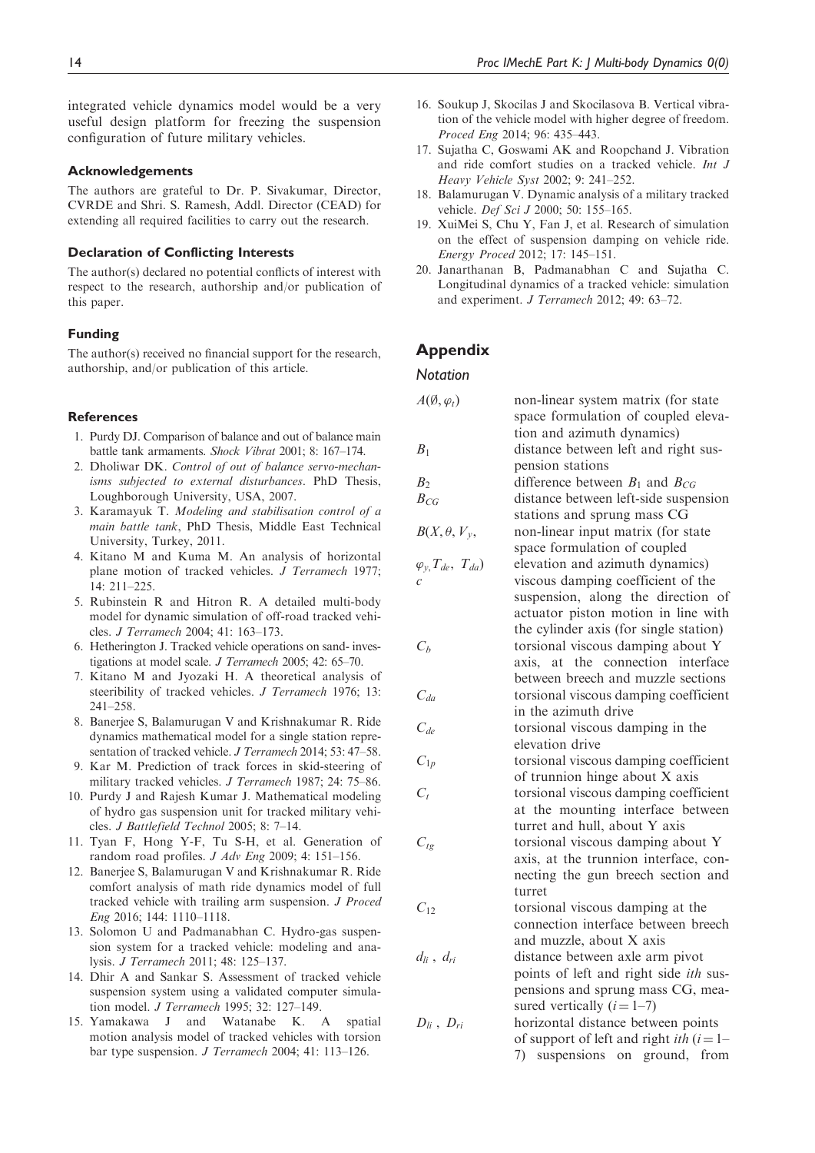integrated vehicle dynamics model would be a very useful design platform for freezing the suspension configuration of future military vehicles.

#### Acknowledgements

The authors are grateful to Dr. P. Sivakumar, Director, CVRDE and Shri. S. Ramesh, Addl. Director (CEAD) for extending all required facilities to carry out the research.

#### Declaration of Conflicting Interests

The author(s) declared no potential conflicts of interest with respect to the research, authorship and/or publication of this paper.

#### Funding

The author(s) received no financial support for the research, authorship, and/or publication of this article.

#### References

- 1. Purdy DJ. Comparison of balance and out of balance main battle tank armaments. Shock Vibrat 2001; 8: 167–174.
- 2. Dholiwar DK. Control of out of balance servo-mechanisms subjected to external disturbances. PhD Thesis, Loughborough University, USA, 2007.
- 3. Karamayuk T. Modeling and stabilisation control of a main battle tank, PhD Thesis, Middle East Technical University, Turkey, 2011.
- 4. Kitano M and Kuma M. An analysis of horizontal plane motion of tracked vehicles. J Terramech 1977; 14: 211–225.
- 5. Rubinstein R and Hitron R. A detailed multi-body model for dynamic simulation of off-road tracked vehicles. J Terramech 2004; 41: 163–173.
- 6. Hetherington J. Tracked vehicle operations on sand- investigations at model scale. J Terramech 2005; 42: 65–70.
- 7. Kitano M and Jyozaki H. A theoretical analysis of steeribility of tracked vehicles. J Terramech 1976; 13: 241–258.
- 8. Banerjee S, Balamurugan V and Krishnakumar R. Ride dynamics mathematical model for a single station representation of tracked vehicle. *J Terramech* 2014; 53: 47–58.
- 9. Kar M. Prediction of track forces in skid-steering of military tracked vehicles. J Terramech 1987; 24: 75–86.
- 10. Purdy J and Rajesh Kumar J. Mathematical modeling of hydro gas suspension unit for tracked military vehicles. J Battlefield Technol 2005; 8: 7–14.
- 11. Tyan F, Hong Y-F, Tu S-H, et al. Generation of random road profiles. J Adv Eng 2009; 4: 151–156.
- 12. Banerjee S, Balamurugan V and Krishnakumar R. Ride comfort analysis of math ride dynamics model of full tracked vehicle with trailing arm suspension. J Proced Eng 2016; 144: 1110–1118.
- 13. Solomon U and Padmanabhan C. Hydro-gas suspension system for a tracked vehicle: modeling and analysis. J Terramech 2011; 48: 125–137.
- 14. Dhir A and Sankar S. Assessment of tracked vehicle suspension system using a validated computer simulation model. J Terramech 1995; 32: 127–149.
- 15. Yamakawa J and Watanabe K. A spatial motion analysis model of tracked vehicles with torsion bar type suspension. J Terramech 2004; 41: 113–126.
- 16. Soukup J, Skocilas J and Skocilasova B. Vertical vibration of the vehicle model with higher degree of freedom. Proced Eng 2014; 96: 435–443.
- 17. Sujatha C, Goswami AK and Roopchand J. Vibration and ride comfort studies on a tracked vehicle. Int J Heavy Vehicle Syst 2002; 9: 241–252.
- 18. Balamurugan V. Dynamic analysis of a military tracked vehicle. Def Sci J 2000; 50: 155-165.
- 19. XuiMei S, Chu Y, Fan J, et al. Research of simulation on the effect of suspension damping on vehicle ride. Energy Proced 2012; 17: 145–151.
- 20. Janarthanan B, Padmanabhan C and Sujatha C. Longitudinal dynamics of a tracked vehicle: simulation and experiment. J Terramech 2012; 49: 63–72.

#### Appendix

#### *Notation*

- $A(\emptyset, \varphi_t)$  non-linear system matrix (for state space formulation of coupled elevation and azimuth dynamics)  $B_1$  distance between left and right suspension stations  $B_2$  difference between  $B_1$  and  $B_{CG}$  $B_{CG}$  distance between left-side suspension stations and sprung mass CG  $B(X, \theta, V_{v},$ non-linear input matrix (for state space formulation of coupled  $\varphi_{y}$ ,  $T_{de}$ ,  $T_{da}$  elevation and azimuth dynamics) viscous damping coefficient of the suspension, along the direction of actuator piston motion in line with the cylinder axis (for single station)  $C_b$ torsional viscous damping about Y axis, at the connection interface
- between breech and muzzle sections  $C_{da}$  torsional viscous damping coefficient in the azimuth drive  $C_{de}$  torsional viscous damping in the
	- elevation drive
- $C_{1p}$  torsional viscous damping coefficient of trunnion hinge about X axis
- $C_t$  torsional viscous damping coefficient at the mounting interface between turret and hull, about Y axis  $C_{tg}$  torsional viscous damping about Y axis, at the trunnion interface, con
	- necting the gun breech section and turret
- $C_{12}$  torsional viscous damping at the connection interface between breech and muzzle, about X axis
- $d_{li}$ ,  $d_{ri}$  distance between axle arm pivot points of left and right side ith suspensions and sprung mass CG, measured vertically  $(i = 1-7)$
- $D_{li}$ ,  $D_{ri}$  horizontal distance between points of support of left and right *ith*  $(i = 1 -$ 7) suspensions on ground, from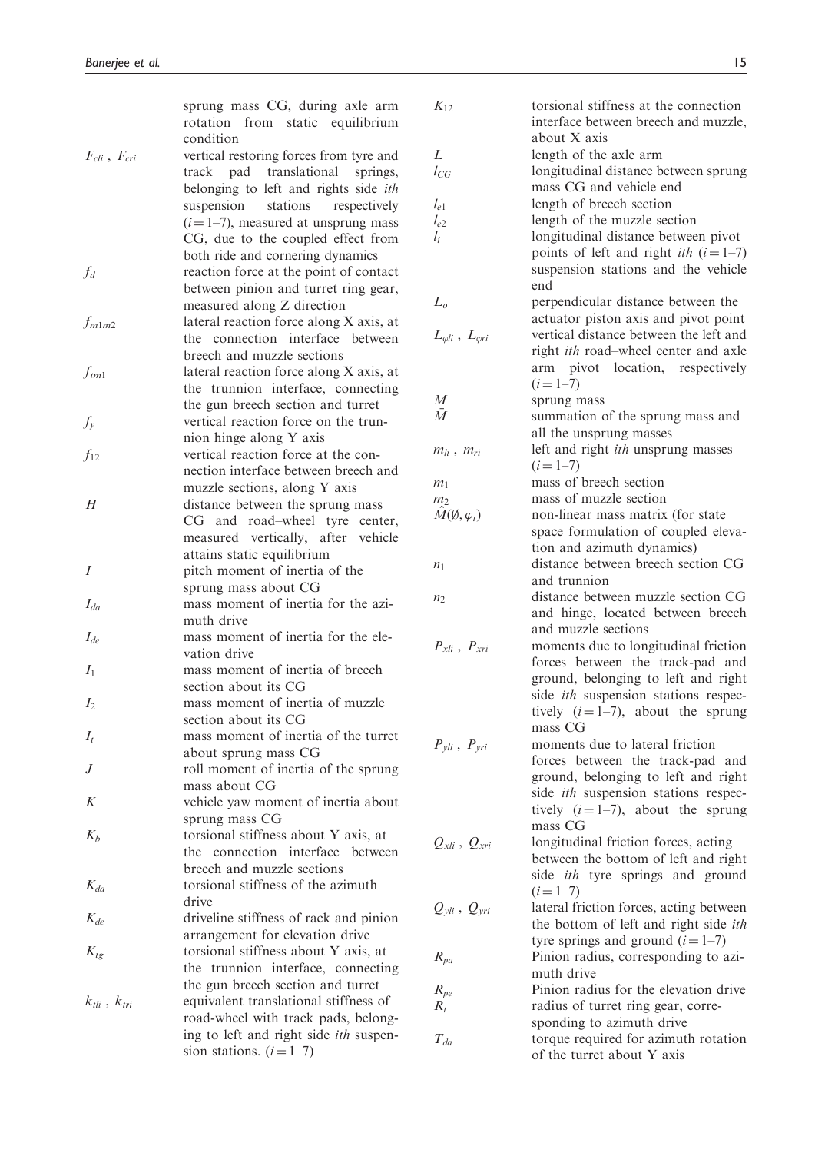|                                     | sprung mass CG, during axle arm<br>rotation from static equilibrium |
|-------------------------------------|---------------------------------------------------------------------|
|                                     | condition                                                           |
| $F_{\text{cli}}$ , $F_{\text{cri}}$ | vertical restoring forces from tyre and<br>springs,                 |
|                                     | track pad translational<br>belonging to left and rights side ith    |
|                                     | suspension stations respectively                                    |
|                                     | $(i=1-7)$ , measured at unsprung mass                               |
|                                     | CG, due to the coupled effect from                                  |
|                                     | both ride and cornering dynamics                                    |
| $f_d$                               | reaction force at the point of contact                              |
|                                     | between pinion and turret ring gear,                                |
|                                     | measured along Z direction                                          |
| $f_{m1m2}$                          | lateral reaction force along X axis, at                             |
|                                     | the connection interface between                                    |
|                                     | breech and muzzle sections                                          |
| $f_{tm1}$                           | lateral reaction force along X axis, at                             |
|                                     | the trunnion interface, connecting                                  |
|                                     | the gun breech section and turret                                   |
| $f_{y}$                             | vertical reaction force on the trun-                                |
|                                     | nion hinge along Y axis                                             |
| $f_{12}$                            | vertical reaction force at the con-                                 |
|                                     | nection interface between breech and                                |
|                                     | muzzle sections, along Y axis                                       |
| H                                   | distance between the sprung mass                                    |
|                                     | CG and road-wheel tyre center,                                      |
|                                     | measured vertically, after vehicle                                  |
|                                     | attains static equilibrium                                          |
| I                                   | pitch moment of inertia of the<br>sprung mass about CG              |
| $I_{da}$                            | mass moment of inertia for the azi-                                 |
|                                     | muth drive                                                          |
| $I_{de}$                            | mass moment of inertia for the ele-                                 |
|                                     | vation drive                                                        |
| $I_1$                               | mass moment of inertia of breech                                    |
|                                     | section about its CG                                                |
| $I_2$                               | mass moment of inertia of muzzle                                    |
|                                     | section about its CG                                                |
| $I_t$                               | mass moment of inertia of the turret                                |
|                                     | about sprung mass CG                                                |
| J                                   | roll moment of inertia of the sprung                                |
|                                     | mass about CG                                                       |
| K                                   | vehicle yaw moment of inertia about                                 |
|                                     | sprung mass CG                                                      |
| $K_b$                               | torsional stiffness about Y axis, at                                |
|                                     | the connection interface between                                    |
|                                     | breech and muzzle sections<br>torsional stiffness of the azimuth    |
| $K_{da}$                            | drive                                                               |
| $K_{de}$                            | driveline stiffness of rack and pinion                              |
|                                     | arrangement for elevation drive                                     |
| $K_{tg}$                            | torsional stiffness about Y axis, at                                |
|                                     | the trunnion interface, connecting                                  |
|                                     | the gun breech section and turret                                   |
| $k_{tli}$ , $k_{tri}$               | equivalent translational stiffness of                               |
|                                     | road-wheel with track pads, belong-                                 |
|                                     | ing to left and right side ith suspen-                              |
|                                     | sion stations. $(i=1-7)$                                            |
|                                     |                                                                     |

| $K_{12}$                            | torsional stiffness at the connection<br>interface between breech and muzzle, |
|-------------------------------------|-------------------------------------------------------------------------------|
|                                     | about X axis                                                                  |
| L                                   | length of the axle arm                                                        |
| $l_{CG}$                            | longitudinal distance between sprung                                          |
|                                     | mass CG and vehicle end                                                       |
| $l_{e1}$                            | length of breech section                                                      |
| $l_{e2}$                            | length of the muzzle section                                                  |
| $l_i$                               | longitudinal distance between pivot                                           |
|                                     | points of left and right <i>ith</i> $(i=1-7)$                                 |
|                                     | suspension stations and the vehicle<br>end                                    |
| $L_o$                               | perpendicular distance between the                                            |
|                                     | actuator piston axis and pivot point                                          |
| $L_{\varphi li}$ , $L_{\varphi ri}$ | vertical distance between the left and                                        |
|                                     | right ith road-wheel center and axle                                          |
|                                     | arm pivot location, respectively                                              |
|                                     | $(i = 1-7)$                                                                   |
| M<br>$\bar{M}$                      | sprung mass                                                                   |
|                                     | summation of the sprung mass and                                              |
| $m_{li}$ , $m_{ri}$                 | all the unsprung masses<br>left and right <i>ith</i> unsprung masses          |
|                                     | $(i=1-7)$                                                                     |
| m <sub>1</sub>                      | mass of breech section                                                        |
| m <sub>2</sub>                      | mass of muzzle section                                                        |
| $\hat{M}(\emptyset,\varphi_t)$      | non-linear mass matrix (for state                                             |
|                                     | space formulation of coupled eleva-                                           |
|                                     | tion and azimuth dynamics)                                                    |
| $n_1$                               | distance between breech section CG                                            |
|                                     | and trunnion<br>distance between muzzle section CG                            |
| n <sub>2</sub>                      | and hinge, located between breech                                             |
|                                     | and muzzle sections                                                           |
| $P_{xli}$ , $P_{xri}$               | moments due to longitudinal friction                                          |
|                                     | forces between the track-pad and                                              |
|                                     | ground, belonging to left and right                                           |
|                                     | side <i>ith</i> suspension stations respec-                                   |
|                                     | tively $(i=1-7)$ , about the sprung                                           |
|                                     | mass CG<br>moments due to lateral friction                                    |
| $P_{yli}$ , $P_{yri}$               | forces between the track-pad and                                              |
|                                     | ground, belonging to left and right                                           |
|                                     | side <i>ith</i> suspension stations respec-                                   |
|                                     | tively $(i=1-7)$ , about the sprung                                           |
|                                     | mass CG                                                                       |
| $Q_{xli}$ , $Q_{xri}$               | longitudinal friction forces, acting                                          |
|                                     | between the bottom of left and right                                          |
|                                     | side <i>ith</i> tyre springs and ground                                       |
|                                     | $(i=1-7)$<br>lateral friction forces, acting between                          |
| $Q_{yli}$ , $Q_{yri}$               | the bottom of left and right side ith                                         |
|                                     | tyre springs and ground $(i=1-7)$                                             |
| $R_{pa}$                            | Pinion radius, corresponding to azi-                                          |
|                                     | muth drive                                                                    |
| $R_{pe}$                            | Pinion radius for the elevation drive                                         |
| $R_t$                               | radius of turret ring gear, corre-                                            |
|                                     | sponding to azimuth drive                                                     |
| $T_{da}$                            | torque required for azimuth rotation                                          |
|                                     | of the turret about Y axis                                                    |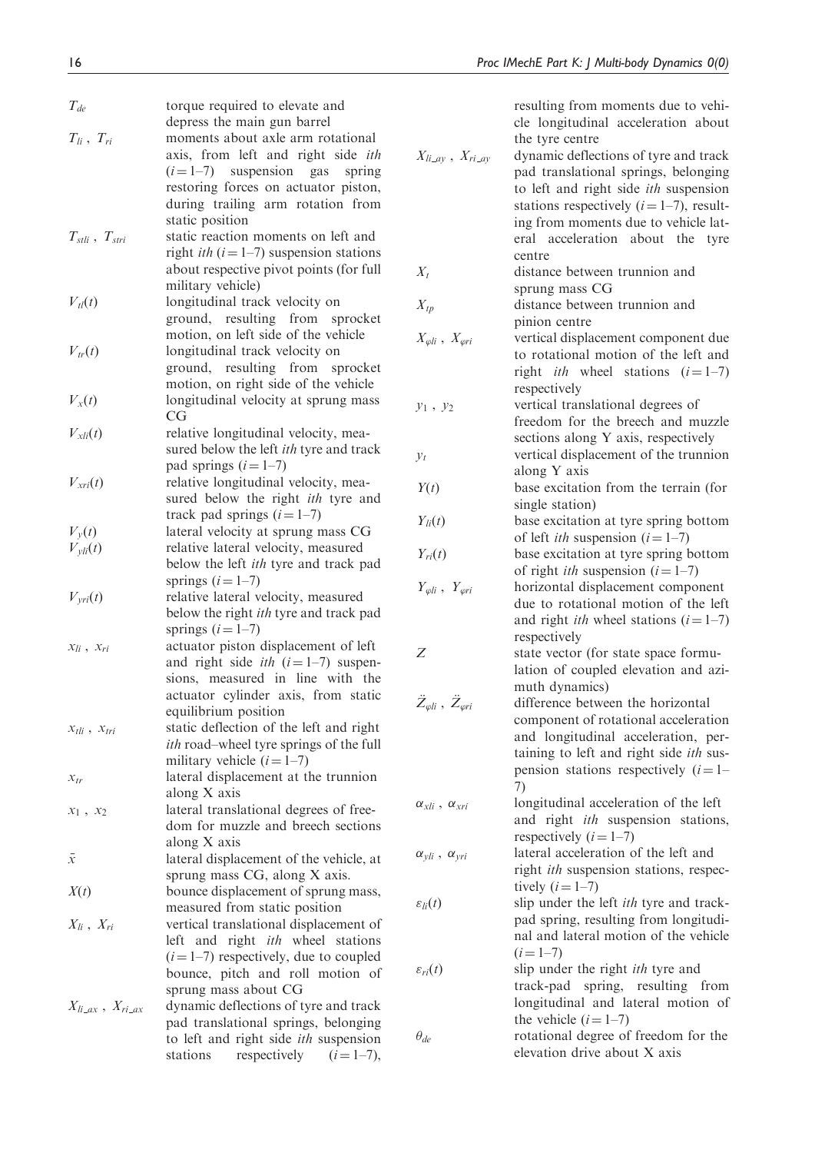$T_{de}$  torque required to elevate and depress the main gun barrel  $T_{li}$ ,  $T_{ri}$  moments about axle arm rotational axis, from left and right side ith  $(i = 1-7)$  suspension gas spring restoring forces on actuator piston, during trailing arm rotation from static position  $T_{\text{stli}}$ ,  $T_{\text{stri}}$  static reaction moments on left and right *ith*  $(i = 1-7)$  suspension stations about respective pivot points (for full military vehicle)  $V<sub>tl</sub>(t)$  longitudinal track velocity on ground, resulting from sprocket motion, on left side of the vehicle  $V<sub>tr</sub>(t)$  longitudinal track velocity on ground, resulting from sprocket motion, on right side of the vehicle  $V<sub>x</sub>(t)$  longitudinal velocity at sprung mass CG  $V_{xli}(t)$  relative longitudinal velocity, measured below the left ith tyre and track pad springs  $(i = 1-7)$  $V_{xri}(t)$  relative longitudinal velocity, measured below the right *ith* tyre and track pad springs  $(i = 1-7)$  $V_{\nu}(t)$  lateral velocity at sprung mass CG  $V_{vli}(t)$  relative lateral velocity, measured below the left ith tyre and track pad springs  $(i = 1-7)$  $V_{\text{yri}}(t)$  relative lateral velocity, measured below the right ith tyre and track pad springs  $(i = 1-7)$  $x_{li}$ ,  $x_{ri}$  actuator piston displacement of left and right side *ith*  $(i = 1-7)$  suspensions, measured in line with the actuator cylinder axis, from static equilibrium position  $x_{tli}$ ,  $x_{tri}$  static deflection of the left and right ith road–wheel tyre springs of the full military vehicle  $(i = 1-7)$  $x_{tr}$  lateral displacement at the trunnion along X axis  $x_1$ ,  $x_2$  lateral translational degrees of freedom for muzzle and breech sections along X axis  $\bar{x}$  lateral displacement of the vehicle, at sprung mass CG, along X axis.  $X(t)$  bounce displacement of sprung mass, measured from static position  $X_{li}$ ,  $X_{ri}$  vertical translational displacement of left and right ith wheel stations  $(i = 1-7)$  respectively, due to coupled bounce, pitch and roll motion of sprung mass about CG  $X_{li,ax}$ ,  $X_{ri,ax}$  dynamic deflections of tyre and track pad translational springs, belonging to left and right side ith suspension stations respectively  $(i = 1-7)$ ,

resulting from moments due to vehicle longitudinal acceleration about the tyre centre

- $X_{li\_ay}$ ,  $X_{ri\_ay}$  dynamic deflections of tyre and track pad translational springs, belonging to left and right side ith suspension stations respectively  $(i = 1-7)$ , resulting from moments due to vehicle lateral acceleration about the tyre centre
- $X_t$  distance between trunnion and sprung mass CG

 $X_{tp}$  distance between trunnion and pinion centre

- $X_{\text{oli}}$ ,  $X_{\text{ori}}$  vertical displacement component due to rotational motion of the left and right *ith* wheel stations  $(i = 1-7)$ respectively
- $y_1$ ,  $y_2$  vertical translational degrees of freedom for the breech and muzzle sections along Y axis, respectively  $y_t$  vertical displacement of the trunnion
- along Y axis  $Y(t)$  base excitation from the terrain (for single station)
- $Y_{li}(t)$  base excitation at tyre spring bottom of left *ith* suspension  $(i = 1-7)$
- $Y_{ri}(t)$  base excitation at tyre spring bottom of right *ith* suspension  $(i = 1-7)$
- $Y_{\varphi li}$ ,  $Y_{\varphi ri}$  horizontal displacement component due to rotational motion of the left and right *ith* wheel stations  $(i = 1-7)$ respectively
- z state vector (for state space formulation of coupled elevation and azimuth dynamics)
- $\ddot{Z}_{\varphi li}$  ,  $\ddot{Z}$ difference between the horizontal component of rotational acceleration and longitudinal acceleration, pertaining to left and right side ith suspension stations respectively  $(i = 1 -$ 7)
- $\alpha_{xli}$ ,  $\alpha_{xri}$  longitudinal acceleration of the left and right ith suspension stations, respectively  $(i = 1-7)$
- $\alpha_{yli}$ ,  $\alpha_{yri}$  lateral acceleration of the left and right *ith* suspension stations, respectively  $(i = 1-7)$
- $\varepsilon_{li}(t)$  slip under the left *ith* tyre and trackpad spring, resulting from longitudinal and lateral motion of the vehicle  $(i = 1-7)$

 $\varepsilon_{ri}(t)$  slip under the right *ith* tyre and track-pad spring, resulting from longitudinal and lateral motion of the vehicle  $(i = 1-7)$ 

 $\theta_{de}$ rotational degree of freedom for the elevation drive about X axis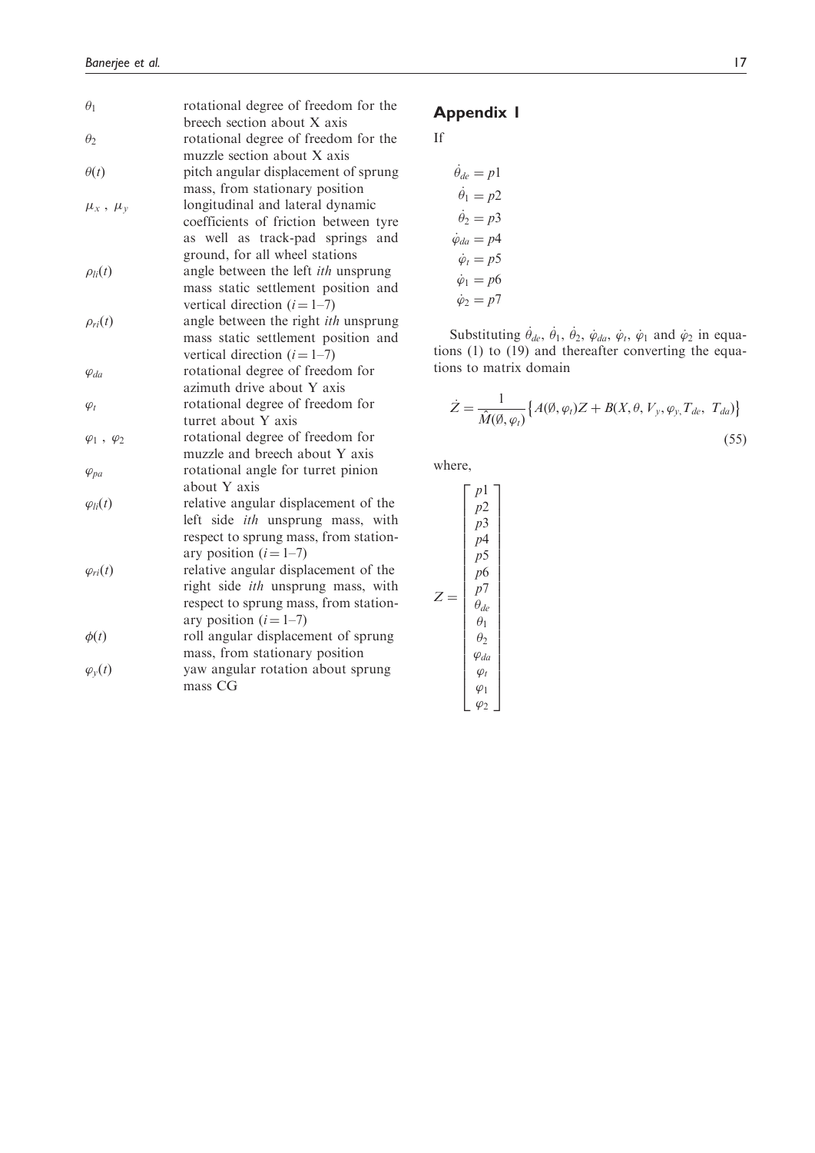| $\theta_1$                | rotational degree of freedom for the       |
|---------------------------|--------------------------------------------|
|                           | breech section about X axis                |
| $\theta_2$                | rotational degree of freedom for the       |
|                           | muzzle section about X axis                |
| $\theta(t)$               | pitch angular displacement of sprung       |
|                           | mass, from stationary position             |
| $\mu_x$ , $\mu_y$         | longitudinal and lateral dynamic           |
|                           | coefficients of friction between tyre      |
|                           | as well as track-pad springs<br>and        |
|                           | ground, for all wheel stations             |
| $\rho_{li}(t)$            | angle between the left <i>ith</i> unsprung |
|                           | mass static settlement position and        |
|                           | vertical direction $(i=1-7)$               |
| $\rho_{ri}(t)$            | angle between the right ith unsprung       |
|                           | mass static settlement position and        |
|                           | vertical direction $(i = 1-7)$             |
| $\varphi_{da}$            | rotational degree of freedom for           |
|                           | azimuth drive about Y axis                 |
| $\varphi_t$               | rotational degree of freedom for           |
|                           | turret about Y axis                        |
| $\varphi_1$ , $\varphi_2$ | rotational degree of freedom for           |
|                           | muzzle and breech about Y axis             |
| $\varphi_{pa}$            | rotational angle for turret pinion         |
|                           | about Y axis                               |
| $\varphi_{li}(t)$         | relative angular displacement of the       |
|                           | left side ith unsprung mass, with          |
|                           | respect to sprung mass, from station-      |
|                           | ary position $(i=1-7)$                     |
| $\varphi_{ri}(t)$         | relative angular displacement of the       |
|                           | right side <i>ith</i> unsprung mass, with  |
|                           | respect to sprung mass, from station-      |
|                           | ary position $(i=1-7)$                     |
| $\phi(t)$                 | roll angular displacement of sprung        |
|                           | mass, from stationary position             |
| $\varphi_{v}(t)$          | yaw angular rotation about sprung          |
|                           | mass CG                                    |

# Appendix 1

If

 $\dot{\theta}_{de} = p1$  $\dot{\theta}_1 = p2$  $\dot{\theta}_2 = p3$  $\dot{\varphi}_{da} = p4$  $\dot{\varphi}_t = p5$  $\dot{\varphi}_1 = p6$  $\dot{\varphi}_2 = p7$ 

Substituting  $\dot{\theta}_{de}$ ,  $\dot{\theta}_1$ ,  $\dot{\theta}_2$ ,  $\dot{\varphi}_{da}$ ,  $\dot{\varphi}_t$ ,  $\dot{\varphi}_1$  and  $\dot{\varphi}_2$  in equations (1) to (19) and thereafter converting the equations to matrix domain

$$
\dot{Z} = \frac{1}{\hat{M}(\emptyset, \varphi_t)} \left\{ A(\emptyset, \varphi_t) Z + B(X, \theta, V_y, \varphi_y, T_{de}, T_{da}) \right\}
$$
\n(55)

where,

|   | p <sub>1</sub> |  |
|---|----------------|--|
|   |                |  |
|   | p2             |  |
|   | p3             |  |
|   | p4             |  |
|   | p5             |  |
|   | p6             |  |
| Z | p7             |  |
|   | $\theta_{de}$  |  |
|   | $\theta_1$     |  |
|   | $\theta_2$     |  |
|   | $\varphi_{da}$ |  |
|   | $\varphi_t$    |  |
|   | $\varphi_1$    |  |
|   | $\varphi_2$    |  |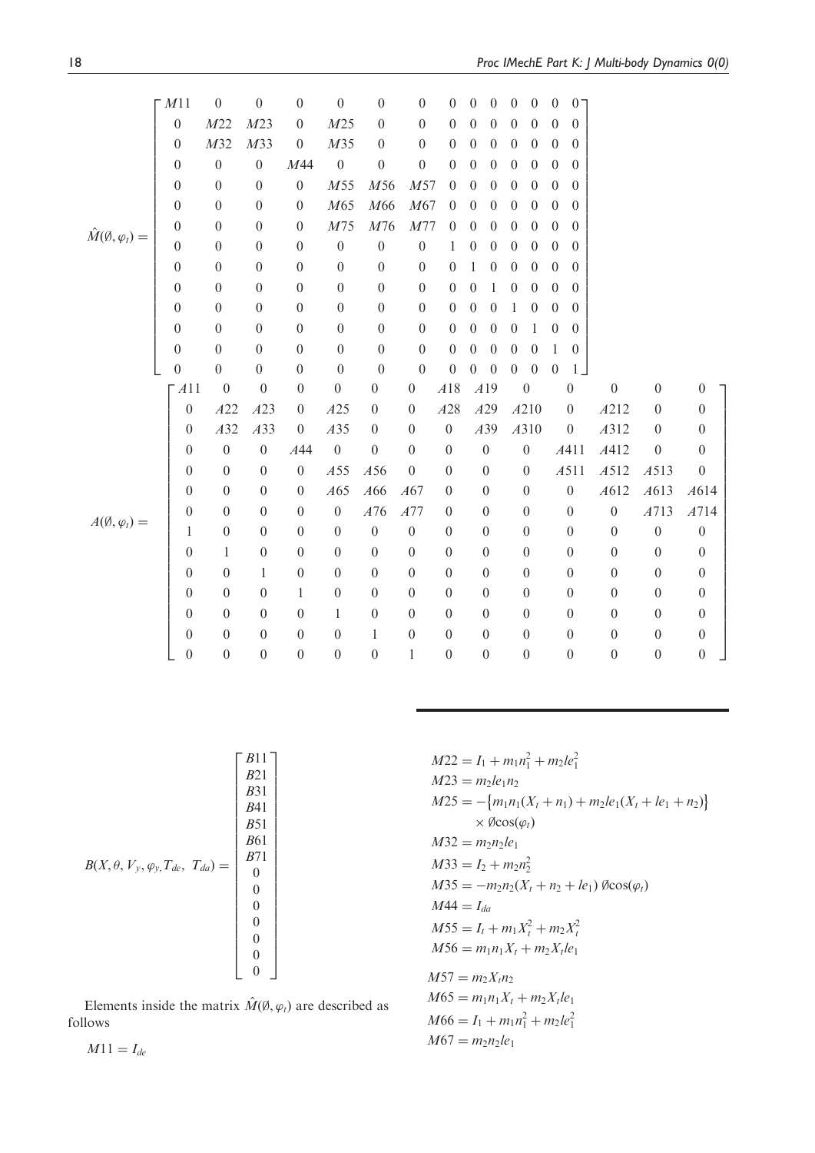| $\hat{M}(\emptyset,\varphi_t)=$ | $-M11$           | $\boldsymbol{0}$ | $\boldsymbol{0}$ | $\boldsymbol{0}$ | $\boldsymbol{0}$ | $\boldsymbol{0}$ | $\boldsymbol{0}$ | $\boldsymbol{0}$ | $\boldsymbol{0}$ | $\boldsymbol{0}$ | $\overline{0}$   | $\boldsymbol{0}$ | $\boldsymbol{0}$<br>0 <sub>7</sub>   |                  |                  |                  |
|---------------------------------|------------------|------------------|------------------|------------------|------------------|------------------|------------------|------------------|------------------|------------------|------------------|------------------|--------------------------------------|------------------|------------------|------------------|
|                                 | $\boldsymbol{0}$ | M22              | M23              | $\boldsymbol{0}$ | M25              | $\boldsymbol{0}$ | $\boldsymbol{0}$ | $\boldsymbol{0}$ | $\boldsymbol{0}$ | $\boldsymbol{0}$ | $\mathbf{0}$     | $\boldsymbol{0}$ | $\boldsymbol{0}$<br>$\boldsymbol{0}$ |                  |                  |                  |
|                                 | $\boldsymbol{0}$ | M32              | M33              | $\boldsymbol{0}$ | M35              | $\boldsymbol{0}$ | $\boldsymbol{0}$ | $\boldsymbol{0}$ | $\boldsymbol{0}$ | $\boldsymbol{0}$ | $\boldsymbol{0}$ | $\boldsymbol{0}$ | $\boldsymbol{0}$<br>$\boldsymbol{0}$ |                  |                  |                  |
|                                 | $\boldsymbol{0}$ | $\boldsymbol{0}$ | $\boldsymbol{0}$ | M44              | $\boldsymbol{0}$ | $\boldsymbol{0}$ | $\boldsymbol{0}$ | $\boldsymbol{0}$ | $\boldsymbol{0}$ | $\boldsymbol{0}$ | $\boldsymbol{0}$ | $\boldsymbol{0}$ | $\boldsymbol{0}$<br>$\boldsymbol{0}$ |                  |                  |                  |
|                                 | $\boldsymbol{0}$ | $\boldsymbol{0}$ | $\boldsymbol{0}$ | $\boldsymbol{0}$ | M55              | M56              | M57              | $\boldsymbol{0}$ | $\boldsymbol{0}$ | $\boldsymbol{0}$ | $\boldsymbol{0}$ | $\boldsymbol{0}$ | $\boldsymbol{0}$<br>$\theta$         |                  |                  |                  |
|                                 | $\boldsymbol{0}$ | $\boldsymbol{0}$ | $\boldsymbol{0}$ | $\boldsymbol{0}$ | M65              | M66              | M67              | $\boldsymbol{0}$ | $\boldsymbol{0}$ | $\boldsymbol{0}$ | $\boldsymbol{0}$ | $\boldsymbol{0}$ | $\boldsymbol{0}$<br>$\theta$         |                  |                  |                  |
|                                 | $\boldsymbol{0}$ | $\boldsymbol{0}$ | $\boldsymbol{0}$ | $\boldsymbol{0}$ | M75              | M76              | M77              | $\boldsymbol{0}$ | $\boldsymbol{0}$ | $\overline{0}$   | $\theta$         | $\boldsymbol{0}$ | $\theta$<br>$\theta$                 |                  |                  |                  |
|                                 | $\boldsymbol{0}$ | $\boldsymbol{0}$ | $\boldsymbol{0}$ | $\boldsymbol{0}$ | $\boldsymbol{0}$ | $\boldsymbol{0}$ | $\boldsymbol{0}$ | $\mathbf{1}$     | $\boldsymbol{0}$ | $\boldsymbol{0}$ | $\boldsymbol{0}$ | $\boldsymbol{0}$ | $\boldsymbol{0}$<br>$\theta$         |                  |                  |                  |
|                                 | $\boldsymbol{0}$ | $\boldsymbol{0}$ | $\boldsymbol{0}$ | $\boldsymbol{0}$ | $\boldsymbol{0}$ | $\boldsymbol{0}$ | $\boldsymbol{0}$ | $\boldsymbol{0}$ | $\mathbf{1}$     | $\boldsymbol{0}$ | $\boldsymbol{0}$ | $\boldsymbol{0}$ | $\boldsymbol{0}$<br>$\boldsymbol{0}$ |                  |                  |                  |
|                                 | $\boldsymbol{0}$ | $\boldsymbol{0}$ | $\boldsymbol{0}$ | $\boldsymbol{0}$ | $\boldsymbol{0}$ | $\boldsymbol{0}$ | $\boldsymbol{0}$ | $\boldsymbol{0}$ | $\boldsymbol{0}$ |                  | $\boldsymbol{0}$ | $\boldsymbol{0}$ | $\boldsymbol{0}$<br>$\boldsymbol{0}$ |                  |                  |                  |
|                                 | $\boldsymbol{0}$ | $\boldsymbol{0}$ | $\boldsymbol{0}$ | $\boldsymbol{0}$ | $\mathbf{0}$     | $\boldsymbol{0}$ | $\boldsymbol{0}$ | 0                | $\boldsymbol{0}$ | $\theta$         | 1                | $\boldsymbol{0}$ | $\boldsymbol{0}$<br>$\theta$         |                  |                  |                  |
|                                 | $\boldsymbol{0}$ | $\boldsymbol{0}$ | $\boldsymbol{0}$ | $\boldsymbol{0}$ | $\boldsymbol{0}$ | $\boldsymbol{0}$ | $\boldsymbol{0}$ | $\boldsymbol{0}$ | $\boldsymbol{0}$ | $\theta$         | $\overline{0}$   | 1                | $\boldsymbol{0}$<br>$\boldsymbol{0}$ |                  |                  |                  |
|                                 | $\boldsymbol{0}$ | $\boldsymbol{0}$ | $\boldsymbol{0}$ | $\boldsymbol{0}$ | $\boldsymbol{0}$ | $\boldsymbol{0}$ | $\boldsymbol{0}$ | $\boldsymbol{0}$ | $\boldsymbol{0}$ | $\boldsymbol{0}$ | $\boldsymbol{0}$ | $\boldsymbol{0}$ | $\boldsymbol{0}$<br>1                |                  |                  |                  |
|                                 | $\boldsymbol{0}$ | $\boldsymbol{0}$ | $\boldsymbol{0}$ | $\boldsymbol{0}$ | $\boldsymbol{0}$ | $\boldsymbol{0}$ | $\boldsymbol{0}$ | $\boldsymbol{0}$ | 0                | $\boldsymbol{0}$ | $\theta$         | $\boldsymbol{0}$ | $\boldsymbol{0}$<br>$1 \square$      |                  |                  |                  |
|                                 | $-411$           | $\boldsymbol{0}$ | $\boldsymbol{0}$ | $\boldsymbol{0}$ | $\boldsymbol{0}$ | $\boldsymbol{0}$ | $\boldsymbol{0}$ | A18              |                  | A19              |                  | $\boldsymbol{0}$ | $\boldsymbol{0}$                     | $\boldsymbol{0}$ | $\boldsymbol{0}$ | $\boldsymbol{0}$ |
|                                 | $\boldsymbol{0}$ | A22              | A23              | $\boldsymbol{0}$ | A25              | $\boldsymbol{0}$ | $\boldsymbol{0}$ | A28              |                  | A29              |                  | A210             | $\boldsymbol{0}$                     | A212             | $\boldsymbol{0}$ | $\boldsymbol{0}$ |
|                                 | $\boldsymbol{0}$ | A32              | A33              | $\boldsymbol{0}$ | A35              | $\boldsymbol{0}$ | $\boldsymbol{0}$ | $\boldsymbol{0}$ |                  | A39              |                  | A310             | $\boldsymbol{0}$                     | A312             | $\boldsymbol{0}$ | $\boldsymbol{0}$ |
|                                 | $\boldsymbol{0}$ | $\boldsymbol{0}$ | $\boldsymbol{0}$ | A44              | $\boldsymbol{0}$ | $\boldsymbol{0}$ | $\boldsymbol{0}$ | $\boldsymbol{0}$ |                  | $\boldsymbol{0}$ |                  | $\boldsymbol{0}$ | A411                                 | A412             | $\boldsymbol{0}$ | $\boldsymbol{0}$ |
|                                 | $\boldsymbol{0}$ | $\boldsymbol{0}$ | $\boldsymbol{0}$ | $\boldsymbol{0}$ | A55              | A56              | $\boldsymbol{0}$ | $\boldsymbol{0}$ |                  | $\boldsymbol{0}$ |                  | $\boldsymbol{0}$ | A511                                 | A512             | A513             | $\boldsymbol{0}$ |
|                                 | $\boldsymbol{0}$ | $\boldsymbol{0}$ | $\boldsymbol{0}$ | $\boldsymbol{0}$ | A65              | A66              | A67              | $\boldsymbol{0}$ |                  | $\boldsymbol{0}$ |                  | $\boldsymbol{0}$ | $\boldsymbol{0}$                     | A612             | A613             | A614             |
| $A(\emptyset, \varphi_t) =$     | $\boldsymbol{0}$ | $\boldsymbol{0}$ | $\boldsymbol{0}$ | $\boldsymbol{0}$ | $\boldsymbol{0}$ | A76              | A77              | $\boldsymbol{0}$ |                  | $\boldsymbol{0}$ |                  | $\boldsymbol{0}$ | $\boldsymbol{0}$                     | $\boldsymbol{0}$ | A713             | A714             |
|                                 | 1                | $\boldsymbol{0}$ | $\boldsymbol{0}$ | $\mathbf{0}$     | $\boldsymbol{0}$ | $\boldsymbol{0}$ | $\boldsymbol{0}$ | $\boldsymbol{0}$ |                  | $\boldsymbol{0}$ |                  | $\boldsymbol{0}$ | $\boldsymbol{0}$                     | $\boldsymbol{0}$ | $\boldsymbol{0}$ | $\boldsymbol{0}$ |
|                                 | $\boldsymbol{0}$ | $\,1\,$          | $\boldsymbol{0}$ | $\boldsymbol{0}$ | $\mathbf{0}$     | $\boldsymbol{0}$ | $\boldsymbol{0}$ | $\boldsymbol{0}$ |                  | $\boldsymbol{0}$ |                  | $\boldsymbol{0}$ | $\boldsymbol{0}$                     | $\boldsymbol{0}$ | $\boldsymbol{0}$ | $\boldsymbol{0}$ |
|                                 | $\boldsymbol{0}$ | $\boldsymbol{0}$ | $\,1$            | $\boldsymbol{0}$ | $\boldsymbol{0}$ | $\boldsymbol{0}$ | $\boldsymbol{0}$ | $\boldsymbol{0}$ |                  | $\boldsymbol{0}$ |                  | $\boldsymbol{0}$ | $\boldsymbol{0}$                     | $\boldsymbol{0}$ | $\boldsymbol{0}$ | $\boldsymbol{0}$ |
|                                 | $\boldsymbol{0}$ | $\boldsymbol{0}$ | $\boldsymbol{0}$ | 1                | $\mathbf{0}$     | $\theta$         | $\boldsymbol{0}$ | $\boldsymbol{0}$ |                  | $\boldsymbol{0}$ |                  | $\boldsymbol{0}$ | $\boldsymbol{0}$                     | $\mathbf{0}$     | $\boldsymbol{0}$ | $\boldsymbol{0}$ |
|                                 | $\boldsymbol{0}$ | $\boldsymbol{0}$ | $\boldsymbol{0}$ | $\boldsymbol{0}$ | $\mathbf{1}$     | $\boldsymbol{0}$ | $\boldsymbol{0}$ | $\boldsymbol{0}$ |                  | $\boldsymbol{0}$ |                  | $\boldsymbol{0}$ | $\boldsymbol{0}$                     | $\mathbf{0}$     | $\boldsymbol{0}$ | $\boldsymbol{0}$ |
|                                 | $\boldsymbol{0}$ | $\boldsymbol{0}$ | $\boldsymbol{0}$ | $\boldsymbol{0}$ | $\boldsymbol{0}$ | $\mathbf{1}$     | $\boldsymbol{0}$ | $\boldsymbol{0}$ |                  | $\boldsymbol{0}$ |                  | $\boldsymbol{0}$ | $\boldsymbol{0}$                     | $\boldsymbol{0}$ | $\boldsymbol{0}$ | $\boldsymbol{0}$ |
|                                 | $\boldsymbol{0}$ | $\boldsymbol{0}$ | $\boldsymbol{0}$ | $\boldsymbol{0}$ | $\boldsymbol{0}$ | $\boldsymbol{0}$ | $\mathbf{1}$     | $\boldsymbol{0}$ |                  | $\boldsymbol{0}$ |                  | $\boldsymbol{0}$ | $\boldsymbol{0}$                     | $\boldsymbol{0}$ | $\boldsymbol{0}$ | $\boldsymbol{0}$ |

$$
B(X, \theta, V_y, \varphi_y, T_{de}, T_{da}) = \begin{bmatrix} B11 \\ B21 \\ B31 \\ B41 \\ B51 \\ B61 \\ B61 \\ B71 \\ 0 \\ 0 \\ 0 \\ 0 \\ 0 \\ 0 \\ 0 \\ 0 \\ 0 \\ 0 \\ 0 \\ 0 \\ 0
$$

Elements inside the matrix  $\hat{M}(\emptyset, \varphi_t)$  are described as follows

 $M22 = I_1 + m_1 n_1^2 + m_2 le_1^2$  $M23 = m_2le_1n_2$  $M25 = -\{m_1n_1(X_t + n_1) + m_2le_1(X_t + le_1 + n_2)\}\$  $\times \emptyset$ cos $(\varphi_t)$  $M32 = m_2 n_2 l e_1$  $M33 = I_2 + m_2 n_2^2$  $M35 = -m_2n_2(X_t + n_2 + le_1)$   $\emptyset cos(\varphi_t)$  $M44 = I_{da}$  $M55 = I_t + m_1 X_t^2 + m_2 X_t^2$  $M56 = m_1 n_1 X_t + m_2 X_t le_1$  $M57 = m_2X_t n_2$  $M65 = m_1 n_1 X_t + m_2 X_t le_1$  $M66 = I_1 + m_1 n_1^2 + m_2 le_1^2$  $M67 = m_2 n_2 l e_1$